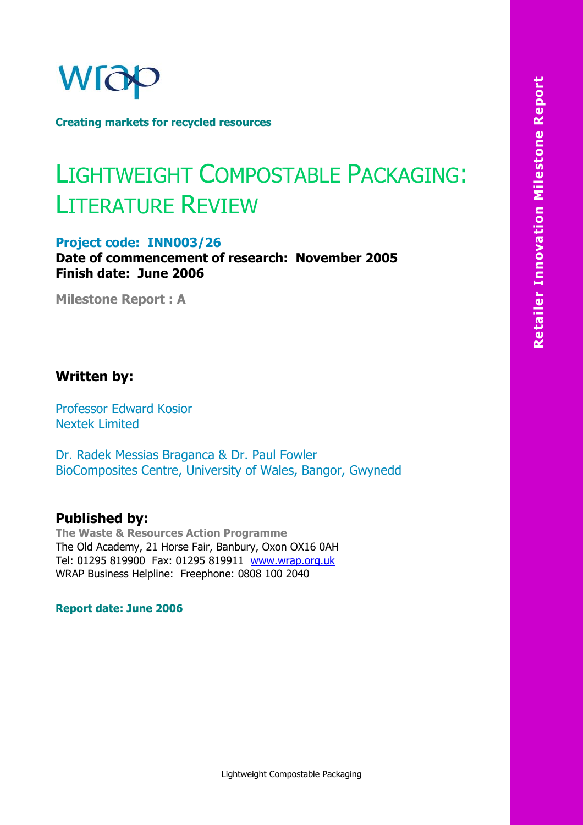

**Creating markets for recycled resources** 

## LIGHTWEIGHT COMPOSTABLE PACKAGING: LITERATURE REVIEW

#### **Project code: INN003/26**

**Date of commencement of research: November 2005 Finish date: June 2006** 

**Milestone Report : A** 

## **Written by:**

Professor Edward Kosior Nextek Limited

Dr. Radek Messias Braganca & Dr. Paul Fowler BioComposites Centre, University of Wales, Bangor, Gwynedd

#### **Published by:**

**The Waste & Resources Action Programme**  The Old Academy, 21 Horse Fair, Banbury, Oxon OX16 0AH Tel: 01295 819900 Fax: 01295 819911 www.wrap.org.uk WRAP Business Helpline: Freephone: 0808 100 2040

**Report date: June 2006**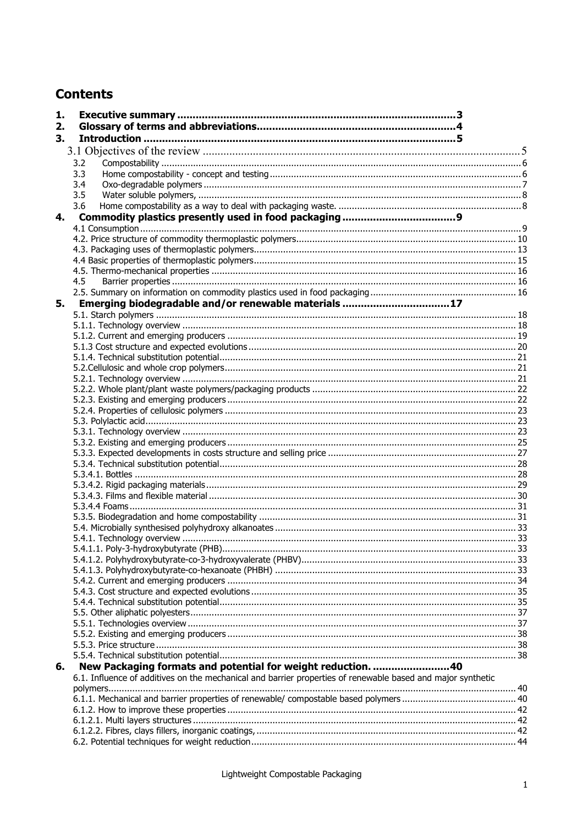## **Contents**

| 1. |                                                                                                             |  |
|----|-------------------------------------------------------------------------------------------------------------|--|
| 2. |                                                                                                             |  |
| 3. |                                                                                                             |  |
|    |                                                                                                             |  |
|    | 3.2                                                                                                         |  |
|    | 3.3                                                                                                         |  |
|    | 3.4                                                                                                         |  |
|    | 3.5                                                                                                         |  |
|    | 3.6                                                                                                         |  |
| 4. |                                                                                                             |  |
|    |                                                                                                             |  |
|    |                                                                                                             |  |
|    |                                                                                                             |  |
|    |                                                                                                             |  |
|    |                                                                                                             |  |
|    | 4.5                                                                                                         |  |
|    |                                                                                                             |  |
| 5. | Emerging biodegradable and/or renewable materials 17                                                        |  |
|    |                                                                                                             |  |
|    |                                                                                                             |  |
|    |                                                                                                             |  |
|    |                                                                                                             |  |
|    |                                                                                                             |  |
|    |                                                                                                             |  |
|    |                                                                                                             |  |
|    |                                                                                                             |  |
|    |                                                                                                             |  |
|    |                                                                                                             |  |
|    |                                                                                                             |  |
|    |                                                                                                             |  |
|    |                                                                                                             |  |
|    |                                                                                                             |  |
|    |                                                                                                             |  |
|    |                                                                                                             |  |
|    |                                                                                                             |  |
|    |                                                                                                             |  |
|    |                                                                                                             |  |
|    |                                                                                                             |  |
|    |                                                                                                             |  |
|    |                                                                                                             |  |
|    |                                                                                                             |  |
|    |                                                                                                             |  |
|    |                                                                                                             |  |
|    |                                                                                                             |  |
|    |                                                                                                             |  |
|    |                                                                                                             |  |
|    |                                                                                                             |  |
|    |                                                                                                             |  |
|    |                                                                                                             |  |
| 6. | New Packaging formats and potential for weight reduction. 40                                                |  |
|    | 6.1. Influence of additives on the mechanical and barrier properties of renewable based and major synthetic |  |
|    |                                                                                                             |  |
|    |                                                                                                             |  |
|    |                                                                                                             |  |
|    |                                                                                                             |  |
|    |                                                                                                             |  |
|    |                                                                                                             |  |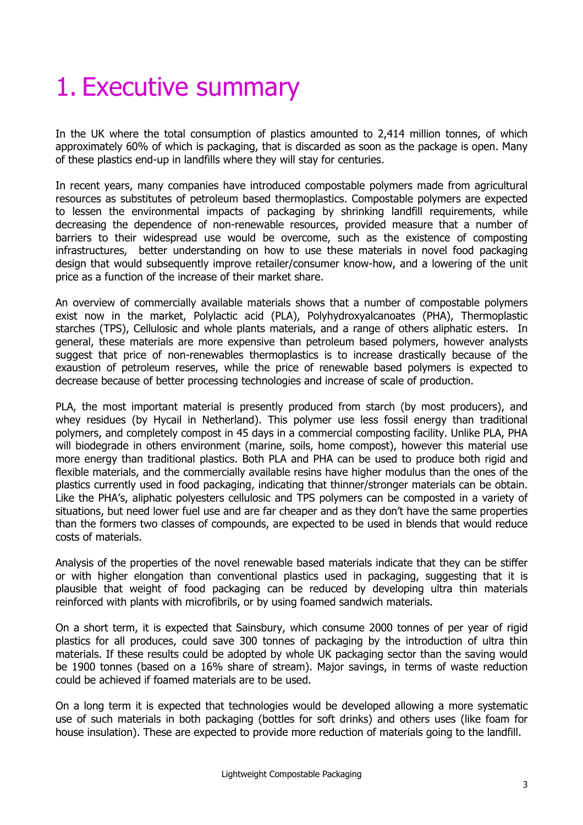## 1. Executive summary

In the UK where the total consumption of plastics amounted to 2,414 million tonnes, of which approximately 60% of which is packaging, that is discarded as soon as the package is open. Many of these plastics end-up in landfills where they will stay for centuries.

In recent years, many companies have introduced compostable polymers made from agricultural resources as substitutes of petroleum based thermoplastics. Compostable polymers are expected to lessen the environmental impacts of packaging by shrinking landfill requirements, while decreasing the dependence of non-renewable resources, provided measure that a number of barriers to their widespread use would be overcome, such as the existence of composting infrastructures, better understanding on how to use these materials in novel food packaging design that would subsequently improve retailer/consumer know-how, and a lowering of the unit price as a function of the increase of their market share.

An overview of commercially available materials shows that a number of compostable polymers exist now in the market, Polylactic acid (PLA), Polyhydroxyalcanoates (PHA), Thermoplastic starches (TPS), Cellulosic and whole plants materials, and a range of others aliphatic esters. In general, these materials are more expensive than petroleum based polymers, however analysts suggest that price of non-renewables thermoplastics is to increase drastically because of the exaustion of petroleum reserves, while the price of renewable based polymers is expected to decrease because of better processing technologies and increase of scale of production.

PLA, the most important material is presently produced from starch (by most producers), and whey residues (by Hycail in Netherland). This polymer use less fossil energy than traditional polymers, and completely compost in 45 days in a commercial composting facility. Unlike PLA, PHA will biodegrade in others environment (marine, soils, home compost), however this material use more energy than traditional plastics. Both PLA and PHA can be used to produce both rigid and flexible materials, and the commercially available resins have higher modulus than the ones of the plastics currently used in food packaging, indicating that thinner/stronger materials can be obtain. Like the PHA's, aliphatic polyesters cellulosic and TPS polymers can be composted in a variety of situations, but need lower fuel use and are far cheaper and as they don't have the same properties than the formers two classes of compounds, are expected to be used in blends that would reduce costs of materials.

Analysis of the properties of the novel renewable based materials indicate that they can be stiffer or with higher elongation than conventional plastics used in packaging, suggesting that it is plausible that weight of food packaging can be reduced by developing ultra thin materials reinforced with plants with microfibrils, or by using foamed sandwich materials.

On a short term, it is expected that Sainsbury, which consume 2000 tonnes of per year of rigid plastics for all produces, could save 300 tonnes of packaging by the introduction of ultra thin materials. If these results could be adopted by whole UK packaging sector than the saving would be 1900 tonnes (based on a 16% share of stream). Major savings, in terms of waste reduction could be achieved if foamed materials are to be used.

On a long term it is expected that technologies would be developed allowing a more systematic use of such materials in both packaging (bottles for soft drinks) and others uses (like foam for house insulation). These are expected to provide more reduction of materials going to the landfill.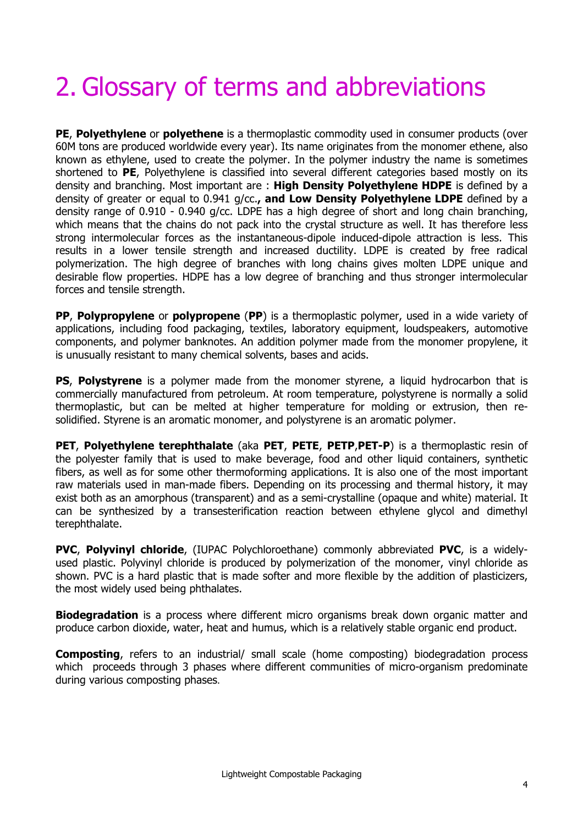# 2. Glossary of terms and abbreviations

**PE**, **Polyethylene** or **polyethene** is a thermoplastic commodity used in consumer products (over 60M tons are produced worldwide every year). Its name originates from the monomer ethene, also known as ethylene, used to create the polymer. In the polymer industry the name is sometimes shortened to **PE**, Polyethylene is classified into several different categories based mostly on its density and branching. Most important are : **High Density Polyethylene HDPE** is defined by a density of greater or equal to 0.941 g/cc.**, and Low Density Polyethylene LDPE** defined by a density range of 0.910 - 0.940 g/cc. LDPE has a high degree of short and long chain branching, which means that the chains do not pack into the crystal structure as well. It has therefore less strong intermolecular forces as the instantaneous-dipole induced-dipole attraction is less. This results in a lower tensile strength and increased ductility. LDPE is created by free radical polymerization. The high degree of branches with long chains gives molten LDPE unique and desirable flow properties. HDPE has a low degree of branching and thus stronger intermolecular forces and tensile strength.

**PP**, **Polypropylene** or **polypropene** (**PP**) is a thermoplastic polymer, used in a wide variety of applications, including food packaging, textiles, laboratory equipment, loudspeakers, automotive components, and polymer banknotes. An addition polymer made from the monomer propylene, it is unusually resistant to many chemical solvents, bases and acids.

**PS, Polystyrene** is a polymer made from the monomer styrene, a liquid hydrocarbon that is commercially manufactured from petroleum. At room temperature, polystyrene is normally a solid thermoplastic, but can be melted at higher temperature for molding or extrusion, then resolidified. Styrene is an aromatic monomer, and polystyrene is an aromatic polymer.

**PET**, **Polyethylene terephthalate** (aka **PET**, **PETE**, **PETP**,**PET-P**) is a thermoplastic resin of the polyester family that is used to make beverage, food and other liquid containers, synthetic fibers, as well as for some other thermoforming applications. It is also one of the most important raw materials used in man-made fibers. Depending on its processing and thermal history, it may exist both as an amorphous (transparent) and as a semi-crystalline (opaque and white) material. It can be synthesized by a transesterification reaction between ethylene glycol and dimethyl terephthalate.

**PVC**, **Polyvinyl chloride**, (IUPAC Polychloroethane) commonly abbreviated **PVC**, is a widelyused plastic. Polyvinyl chloride is produced by polymerization of the monomer, vinyl chloride as shown. PVC is a hard plastic that is made softer and more flexible by the addition of plasticizers, the most widely used being phthalates.

**Biodegradation** is a process where different micro organisms break down organic matter and produce carbon dioxide, water, heat and humus, which is a relatively stable organic end product.

**Composting**, refers to an industrial/ small scale (home composting) biodegradation process which proceeds through 3 phases where different communities of micro-organism predominate during various composting phases.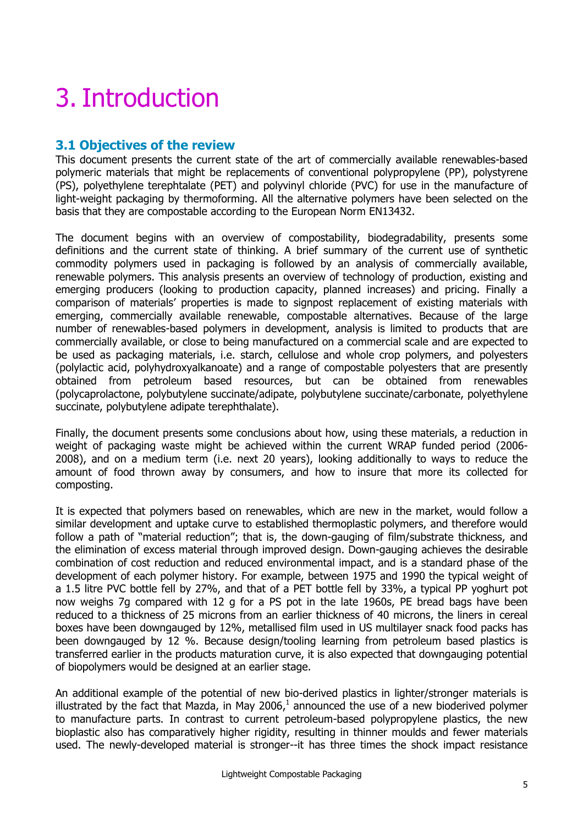## 3. Introduction

## **3.1 Objectives of the review**

This document presents the current state of the art of commercially available renewables-based polymeric materials that might be replacements of conventional polypropylene (PP), polystyrene (PS), polyethylene terephtalate (PET) and polyvinyl chloride (PVC) for use in the manufacture of light-weight packaging by thermoforming. All the alternative polymers have been selected on the basis that they are compostable according to the European Norm EN13432.

The document begins with an overview of compostability, biodegradability, presents some definitions and the current state of thinking. A brief summary of the current use of synthetic commodity polymers used in packaging is followed by an analysis of commercially available, renewable polymers. This analysis presents an overview of technology of production, existing and emerging producers (looking to production capacity, planned increases) and pricing. Finally a comparison of materials' properties is made to signpost replacement of existing materials with emerging, commercially available renewable, compostable alternatives. Because of the large number of renewables-based polymers in development, analysis is limited to products that are commercially available, or close to being manufactured on a commercial scale and are expected to be used as packaging materials, i.e. starch, cellulose and whole crop polymers, and polyesters (polylactic acid, polyhydroxyalkanoate) and a range of compostable polyesters that are presently obtained from petroleum based resources, but can be obtained from renewables (polycaprolactone, polybutylene succinate/adipate, polybutylene succinate/carbonate, polyethylene succinate, polybutylene adipate terephthalate).

Finally, the document presents some conclusions about how, using these materials, a reduction in weight of packaging waste might be achieved within the current WRAP funded period (2006- 2008), and on a medium term (i.e. next 20 years), looking additionally to ways to reduce the amount of food thrown away by consumers, and how to insure that more its collected for composting.

It is expected that polymers based on renewables, which are new in the market, would follow a similar development and uptake curve to established thermoplastic polymers, and therefore would follow a path of "material reduction"; that is, the down-gauging of film/substrate thickness, and the elimination of excess material through improved design. Down-gauging achieves the desirable combination of cost reduction and reduced environmental impact, and is a standard phase of the development of each polymer history. For example, between 1975 and 1990 the typical weight of a 1.5 litre PVC bottle fell by 27%, and that of a PET bottle fell by 33%, a typical PP yoghurt pot now weighs 7g compared with 12 g for a PS pot in the late 1960s, PE bread bags have been reduced to a thickness of 25 microns from an earlier thickness of 40 microns, the liners in cereal boxes have been downgauged by 12%, metallised film used in US multilayer snack food packs has been downgauged by 12 %. Because design/tooling learning from petroleum based plastics is transferred earlier in the products maturation curve, it is also expected that downgauging potential of biopolymers would be designed at an earlier stage.

An additional example of the potential of new bio-derived plastics in lighter/stronger materials is illustrated by the fact that Mazda, in May 2006, $^1$  announced the use of a new bioderived polymer to manufacture parts. In contrast to current petroleum-based polypropylene plastics, the new bioplastic also has comparatively higher rigidity, resulting in thinner moulds and fewer materials used. The newly-developed material is stronger--it has three times the shock impact resistance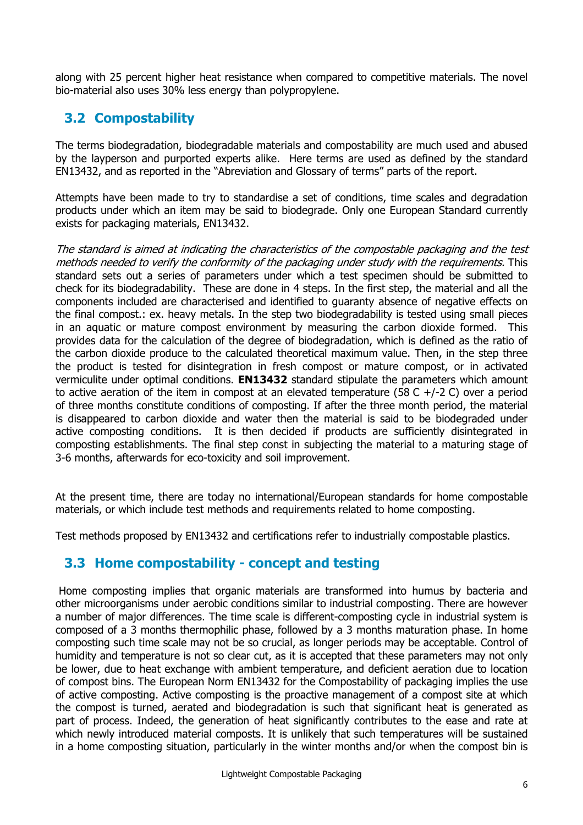along with 25 percent higher heat resistance when compared to competitive materials. The novel bio-material also uses 30% less energy than polypropylene.

## **3.2 Compostability**

The terms biodegradation, biodegradable materials and compostability are much used and abused by the layperson and purported experts alike. Here terms are used as defined by the standard EN13432, and as reported in the "Abreviation and Glossary of terms" parts of the report.

Attempts have been made to try to standardise a set of conditions, time scales and degradation products under which an item may be said to biodegrade. Only one European Standard currently exists for packaging materials, EN13432.

The standard is aimed at indicating the characteristics of the compostable packaging and the test methods needed to verify the conformity of the packaging under study with the requirements. This standard sets out a series of parameters under which a test specimen should be submitted to check for its biodegradability. These are done in 4 steps. In the first step, the material and all the components included are characterised and identified to guaranty absence of negative effects on the final compost.: ex. heavy metals. In the step two biodegradability is tested using small pieces in an aquatic or mature compost environment by measuring the carbon dioxide formed. This provides data for the calculation of the degree of biodegradation, which is defined as the ratio of the carbon dioxide produce to the calculated theoretical maximum value. Then, in the step three the product is tested for disintegration in fresh compost or mature compost, or in activated vermiculite under optimal conditions. **EN13432** standard stipulate the parameters which amount to active aeration of the item in compost at an elevated temperature (58 C +/-2 C) over a period of three months constitute conditions of composting. If after the three month period, the material is disappeared to carbon dioxide and water then the material is said to be biodegraded under active composting conditions. It is then decided if products are sufficiently disintegrated in composting establishments. The final step const in subjecting the material to a maturing stage of 3-6 months, afterwards for eco-toxicity and soil improvement.

At the present time, there are today no international/European standards for home compostable materials, or which include test methods and requirements related to home composting.

Test methods proposed by EN13432 and certifications refer to industrially compostable plastics.

## **3.3 Home compostability - concept and testing**

 Home composting implies that organic materials are transformed into humus by bacteria and other microorganisms under aerobic conditions similar to industrial composting. There are however a number of major differences. The time scale is different-composting cycle in industrial system is composed of a 3 months thermophilic phase, followed by a 3 months maturation phase. In home composting such time scale may not be so crucial, as longer periods may be acceptable. Control of humidity and temperature is not so clear cut, as it is accepted that these parameters may not only be lower, due to heat exchange with ambient temperature, and deficient aeration due to location of compost bins. The European Norm EN13432 for the Compostability of packaging implies the use of active composting. Active composting is the proactive management of a compost site at which the compost is turned, aerated and biodegradation is such that significant heat is generated as part of process. Indeed, the generation of heat significantly contributes to the ease and rate at which newly introduced material composts. It is unlikely that such temperatures will be sustained in a home composting situation, particularly in the winter months and/or when the compost bin is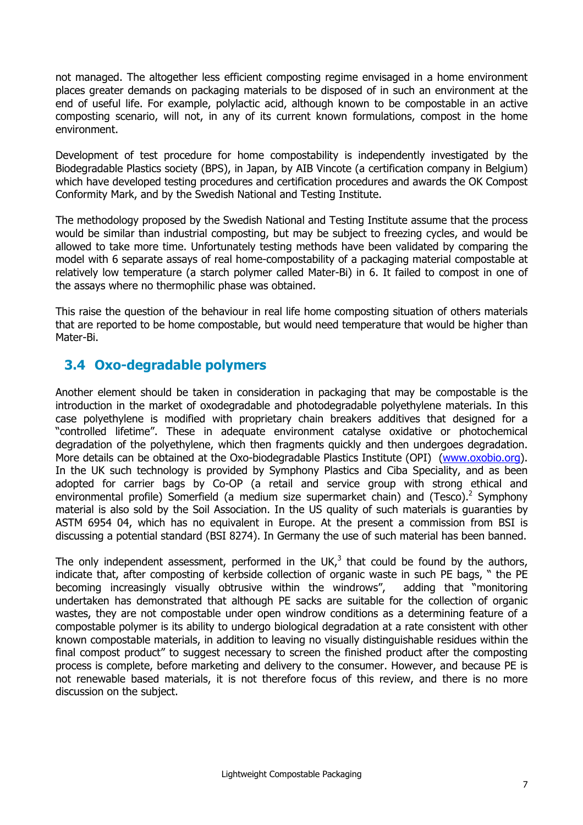not managed. The altogether less efficient composting regime envisaged in a home environment places greater demands on packaging materials to be disposed of in such an environment at the end of useful life. For example, polylactic acid, although known to be compostable in an active composting scenario, will not, in any of its current known formulations, compost in the home environment.

Development of test procedure for home compostability is independently investigated by the Biodegradable Plastics society (BPS), in Japan, by AIB Vincote (a certification company in Belgium) which have developed testing procedures and certification procedures and awards the OK Compost Conformity Mark, and by the Swedish National and Testing Institute.

The methodology proposed by the Swedish National and Testing Institute assume that the process would be similar than industrial composting, but may be subject to freezing cycles, and would be allowed to take more time. Unfortunately testing methods have been validated by comparing the model with 6 separate assays of real home-compostability of a packaging material compostable at relatively low temperature (a starch polymer called Mater-Bi) in 6. It failed to compost in one of the assays where no thermophilic phase was obtained.

This raise the question of the behaviour in real life home composting situation of others materials that are reported to be home compostable, but would need temperature that would be higher than Mater-Bi.

## **3.4 Oxo-degradable polymers**

Another element should be taken in consideration in packaging that may be compostable is the introduction in the market of oxodegradable and photodegradable polyethylene materials. In this case polyethylene is modified with proprietary chain breakers additives that designed for a "controlled lifetime". These in adequate environment catalyse oxidative or photochemical degradation of the polyethylene, which then fragments quickly and then undergoes degradation. More details can be obtained at the Oxo-biodegradable Plastics Institute (OPI) (www.oxobio.org). In the UK such technology is provided by Symphony Plastics and Ciba Speciality, and as been adopted for carrier bags by Co-OP (a retail and service group with strong ethical and environmental profile) Somerfield (a medium size supermarket chain) and (Tesco).<sup>2</sup> Symphony material is also sold by the Soil Association. In the US quality of such materials is guaranties by ASTM 6954 04, which has no equivalent in Europe. At the present a commission from BSI is discussing a potential standard (BSI 8274). In Germany the use of such material has been banned.

The only independent assessment, performed in the UK, $3$  that could be found by the authors, indicate that, after composting of kerbside collection of organic waste in such PE bags, " the PE becoming increasingly visually obtrusive within the windrows", adding that "monitoring undertaken has demonstrated that although PE sacks are suitable for the collection of organic wastes, they are not compostable under open windrow conditions as a determining feature of a compostable polymer is its ability to undergo biological degradation at a rate consistent with other known compostable materials, in addition to leaving no visually distinguishable residues within the final compost product" to suggest necessary to screen the finished product after the composting process is complete, before marketing and delivery to the consumer. However, and because PE is not renewable based materials, it is not therefore focus of this review, and there is no more discussion on the subject.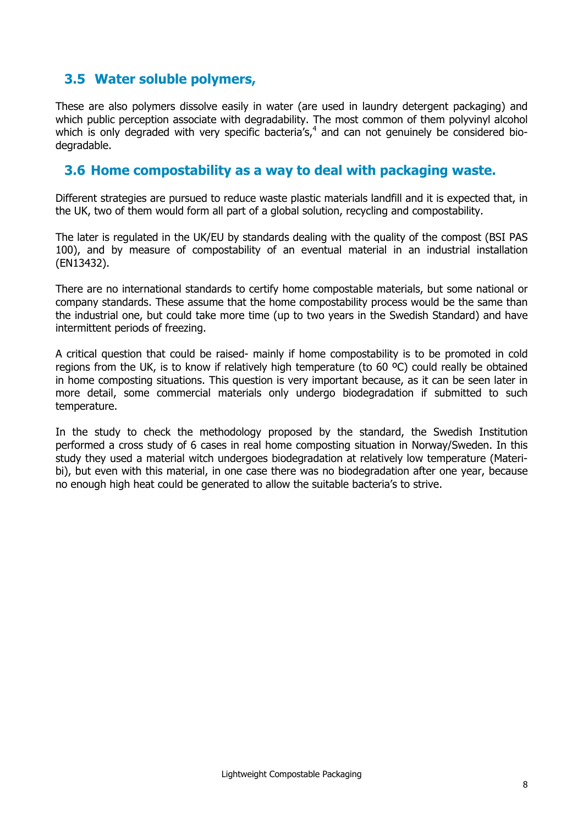## **3.5 Water soluble polymers,**

These are also polymers dissolve easily in water (are used in laundry detergent packaging) and which public perception associate with degradability. The most common of them polyvinyl alcohol which is only degraded with very specific bacteria's, $4$  and can not genuinely be considered biodegradable.

#### **3.6 Home compostability as a way to deal with packaging waste.**

Different strategies are pursued to reduce waste plastic materials landfill and it is expected that, in the UK, two of them would form all part of a global solution, recycling and compostability.

The later is regulated in the UK/EU by standards dealing with the quality of the compost (BSI PAS 100), and by measure of compostability of an eventual material in an industrial installation (EN13432).

There are no international standards to certify home compostable materials, but some national or company standards. These assume that the home compostability process would be the same than the industrial one, but could take more time (up to two years in the Swedish Standard) and have intermittent periods of freezing.

A critical question that could be raised- mainly if home compostability is to be promoted in cold regions from the UK, is to know if relatively high temperature (to  $60 \degree C$ ) could really be obtained in home composting situations. This question is very important because, as it can be seen later in more detail, some commercial materials only undergo biodegradation if submitted to such temperature.

In the study to check the methodology proposed by the standard, the Swedish Institution performed a cross study of 6 cases in real home composting situation in Norway/Sweden. In this study they used a material witch undergoes biodegradation at relatively low temperature (Materibi), but even with this material, in one case there was no biodegradation after one year, because no enough high heat could be generated to allow the suitable bacteria's to strive.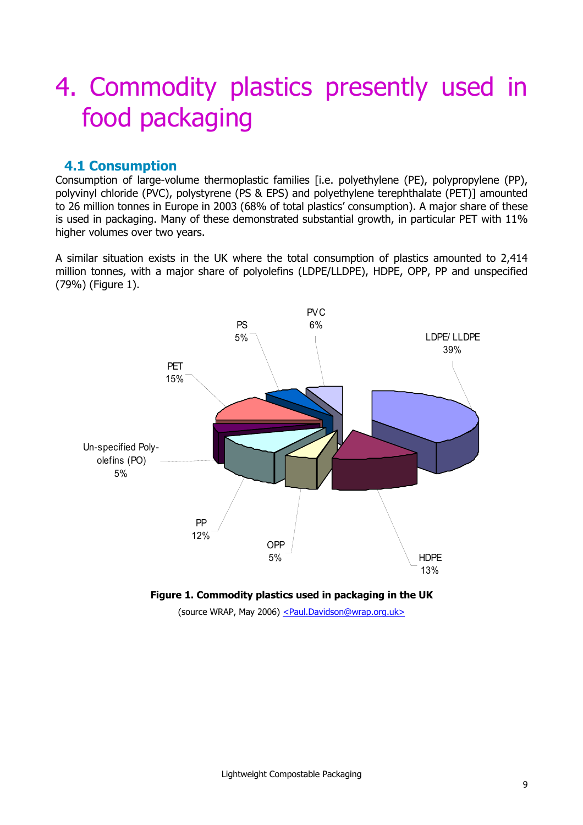## 4. Commodity plastics presently used in food packaging

## **4.1 Consumption**

Consumption of large-volume thermoplastic families [i.e. polyethylene (PE), polypropylene (PP), polyvinyl chloride (PVC), polystyrene (PS & EPS) and polyethylene terephthalate (PET)] amounted to 26 million tonnes in Europe in 2003 (68% of total plastics' consumption). A major share of these is used in packaging. Many of these demonstrated substantial growth, in particular PET with 11% higher volumes over two years.

A similar situation exists in the UK where the total consumption of plastics amounted to 2,414 million tonnes, with a major share of polyolefins (LDPE/LLDPE), HDPE, OPP, PP and unspecified (79%) (Figure 1).





(source WRAP, May 2006) <Paul.Davidson@wrap.org.uk>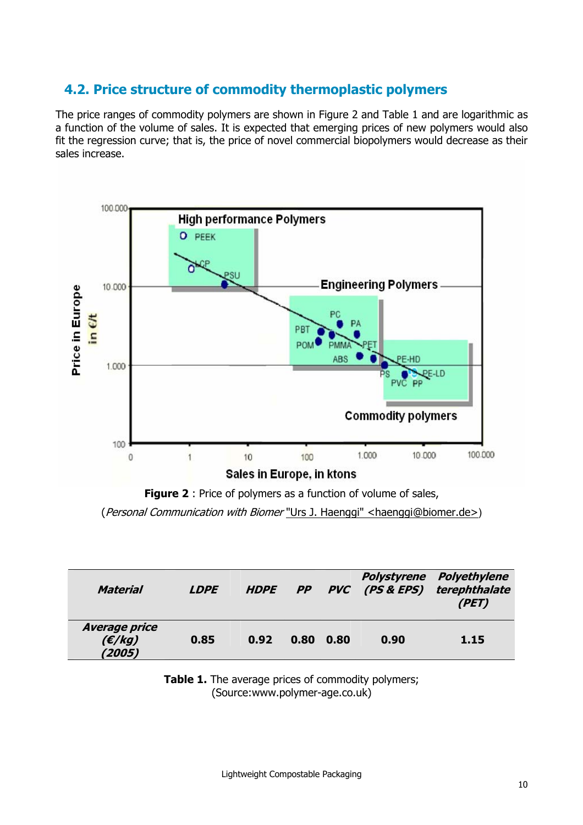## **4.2. Price structure of commodity thermoplastic polymers**

The price ranges of commodity polymers are shown in Figure 2 and Table 1 and are logarithmic as a function of the volume of sales. It is expected that emerging prices of new polymers would also fit the regression curve; that is, the price of novel commercial biopolymers would decrease as their sales increase.



**Figure 2** : Price of polymers as a function of volume of sales,

(Personal Communication with Biomer "Urs J. Haenggi" <haenggi@biomer.de>)

| Material                                 | <b>LDPE</b> |      |      |      |      | <b>Polystyrene Polyethylene</b><br>HDPE PP PVC (PS & EPS) terephthalate<br>(PET) |
|------------------------------------------|-------------|------|------|------|------|----------------------------------------------------------------------------------|
| <b>Average price</b><br>(E/kg)<br>(2005) | 0.85        | 0.92 | 0.80 | 0.80 | 0.90 | 1.15                                                                             |

**Table 1.** The average prices of commodity polymers; (Source:www.polymer-age.co.uk)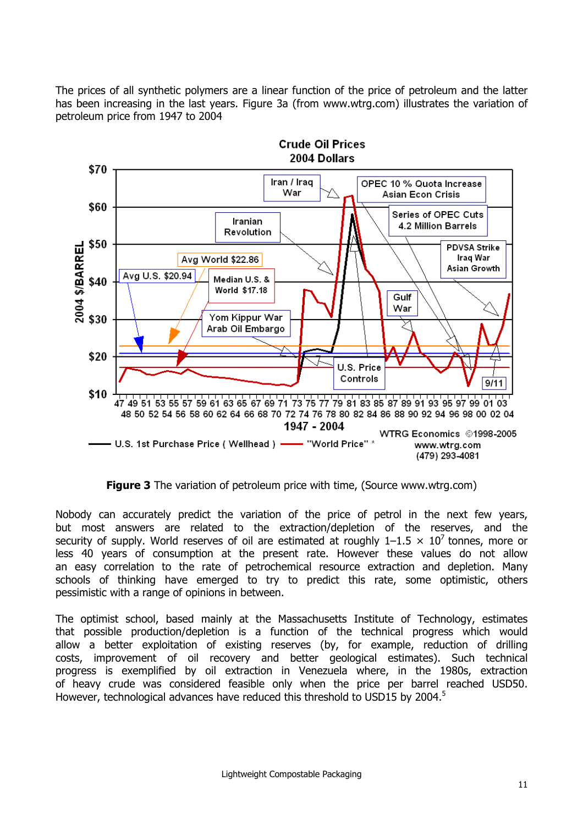The prices of all synthetic polymers are a linear function of the price of petroleum and the latter has been increasing in the last years. Figure 3a (from www.wtrg.com) illustrates the variation of petroleum price from 1947 to 2004



**Figure 3** The variation of petroleum price with time, (Source www.wtrg.com)

Nobody can accurately predict the variation of the price of petrol in the next few years, but most answers are related to the extraction/depletion of the reserves, and the security of supply. World reserves of oil are estimated at roughly  $1-1.5 \times 10^7$  tonnes, more or less 40 years of consumption at the present rate. However these values do not allow an easy correlation to the rate of petrochemical resource extraction and depletion. Many schools of thinking have emerged to try to predict this rate, some optimistic, others pessimistic with a range of opinions in between.

The optimist school, based mainly at the Massachusetts Institute of Technology, estimates that possible production/depletion is a function of the technical progress which would allow a better exploitation of existing reserves (by, for example, reduction of drilling costs, improvement of oil recovery and better geological estimates). Such technical progress is exemplified by oil extraction in Venezuela where, in the 1980s, extraction of heavy crude was considered feasible only when the price per barrel reached USD50. However, technological advances have reduced this threshold to USD15 by 2004.<sup>5</sup>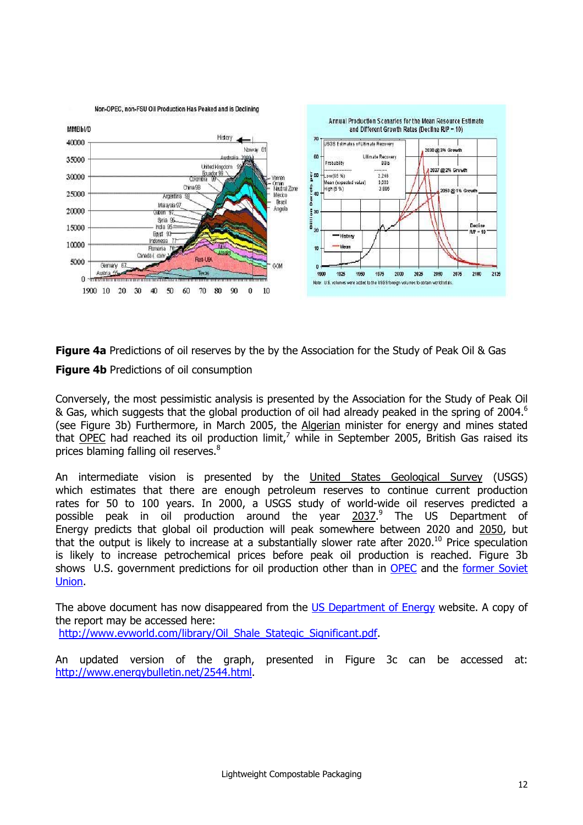

**Figure 4a** Predictions of oil reserves by the by the Association for the Study of Peak Oil & Gas **Figure 4b** Predictions of oil consumption

Conversely, the most pessimistic analysis is presented by the Association for the Study of Peak Oil & Gas, which suggests that the global production of oil had already peaked in the spring of 2004.<sup>6</sup> (see Figure 3b) Furthermore, in March 2005, the Algerian minister for energy and mines stated that <u>OPEC</u> had reached its oil production limit,<sup>7</sup> while in September 2005, British Gas raised its prices blaming falling oil reserves.<sup>8</sup>

An intermediate vision is presented by the United States Geological Survey (USGS) which estimates that there are enough petroleum reserves to continue current production rates for 50 to 100 years. In 2000, a USGS study of world-wide oil reserves predicted a possible peak in oil production around the year 2037.<sup>9</sup> The US Department of Energy predicts that global oil production will peak somewhere between 2020 and 2050, but that the output is likely to increase at a substantially slower rate after 2020.<sup>10</sup> Price speculation is likely to increase petrochemical prices before peak oil production is reached. Figure 3b shows U.S. government predictions for oil production other than in OPEC and the former Soviet Union.

The above document has now disappeared from the US Department of Energy website. A copy of the report may be accessed here:

http://www.evworld.com/library/Oil Shale Stategic Significant.pdf.

An updated version of the graph, presented in Figure 3c can be accessed at: http://www.energybulletin.net/2544.html.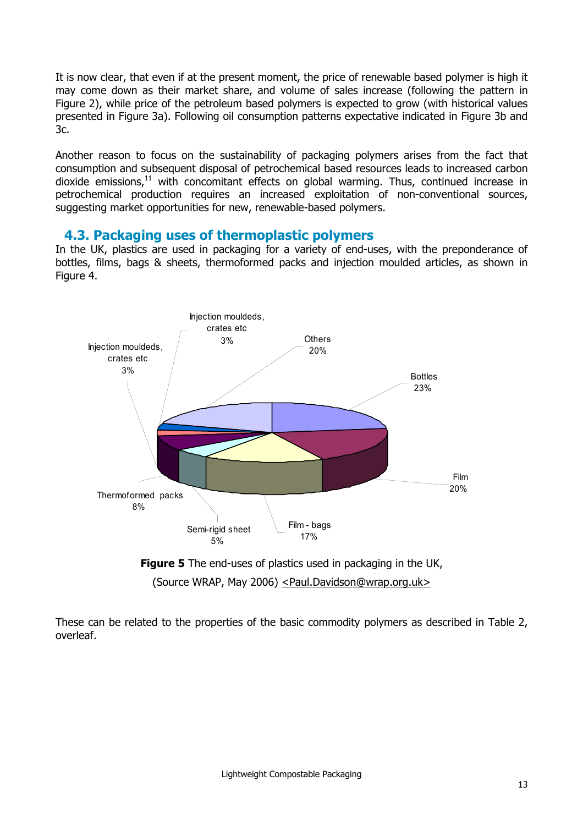It is now clear, that even if at the present moment, the price of renewable based polymer is high it may come down as their market share, and volume of sales increase (following the pattern in Figure 2), while price of the petroleum based polymers is expected to grow (with historical values presented in Figure 3a). Following oil consumption patterns expectative indicated in Figure 3b and 3c.

Another reason to focus on the sustainability of packaging polymers arises from the fact that consumption and subsequent disposal of petrochemical based resources leads to increased carbon dioxide emissions, $11$  with concomitant effects on global warming. Thus, continued increase in petrochemical production requires an increased exploitation of non-conventional sources, suggesting market opportunities for new, renewable-based polymers.

#### **4.3. Packaging uses of thermoplastic polymers**

In the UK, plastics are used in packaging for a variety of end-uses, with the preponderance of bottles, films, bags & sheets, thermoformed packs and injection moulded articles, as shown in Figure 4.



**Figure 5** The end-uses of plastics used in packaging in the UK, (Source WRAP, May 2006) <Paul.Davidson@wrap.org.uk>

These can be related to the properties of the basic commodity polymers as described in Table 2, overleaf.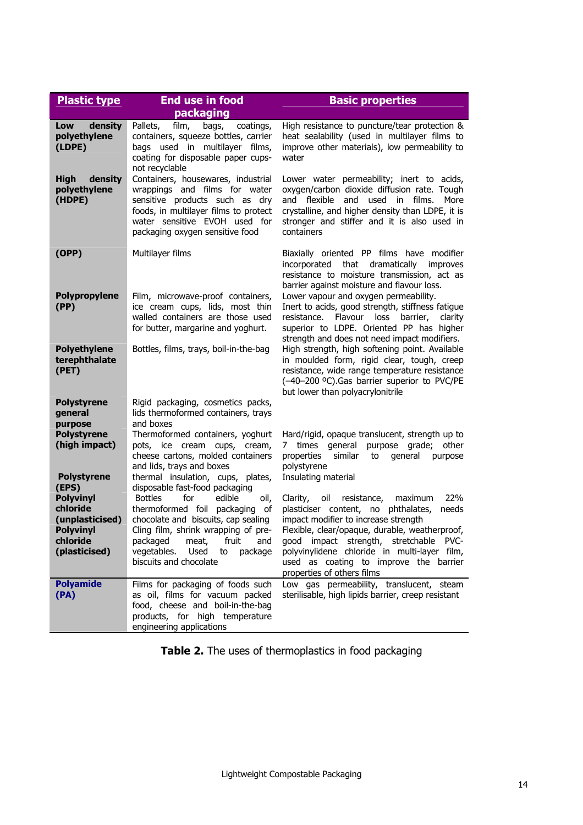| <b>Plastic type</b><br><b>End use in food</b>               |                                                                                                                                                                                                                    | <b>Basic properties</b>                                                                                                                                                                                                                                    |  |  |  |
|-------------------------------------------------------------|--------------------------------------------------------------------------------------------------------------------------------------------------------------------------------------------------------------------|------------------------------------------------------------------------------------------------------------------------------------------------------------------------------------------------------------------------------------------------------------|--|--|--|
|                                                             | packaging                                                                                                                                                                                                          |                                                                                                                                                                                                                                                            |  |  |  |
| Low<br>density<br>polyethylene<br>(LDPE)                    | Pallets,<br>film,<br>bags,<br>coatings,<br>containers, squeeze bottles, carrier<br>bags used in multilayer films,<br>coating for disposable paper cups-<br>not recyclable                                          | High resistance to puncture/tear protection &<br>heat sealability (used in multilayer films to<br>improve other materials), low permeability to<br>water                                                                                                   |  |  |  |
| density<br>High<br>polyethylene<br>(HDPE)                   | Containers, housewares, industrial<br>wrappings and films for water<br>sensitive products such as dry<br>foods, in multilayer films to protect<br>water sensitive EVOH used for<br>packaging oxygen sensitive food | Lower water permeability; inert to acids,<br>oxygen/carbon dioxide diffusion rate. Tough<br>and flexible<br>and used<br>in films.<br>More<br>crystalline, and higher density than LDPE, it is<br>stronger and stiffer and it is also used in<br>containers |  |  |  |
| (OPP)                                                       | Multilayer films                                                                                                                                                                                                   | Biaxially oriented PP films have modifier<br>dramatically<br>incorporated<br>that<br>improves<br>resistance to moisture transmission, act as<br>barrier against moisture and flavour loss.                                                                 |  |  |  |
| <b>Polypropylene</b><br>(PP)                                | Film, microwave-proof containers,<br>ice cream cups, lids, most thin<br>walled containers are those used<br>for butter, margarine and yoghurt.                                                                     | Lower vapour and oxygen permeability.<br>Inert to acids, good strength, stiffness fatigue<br>resistance.<br>Flavour loss barrier,<br>clarity<br>superior to LDPE. Oriented PP has higher<br>strength and does not need impact modifiers.                   |  |  |  |
| <b>Polyethylene</b><br>terephthalate<br>(PET)               | Bottles, films, trays, boil-in-the-bag                                                                                                                                                                             | High strength, high softening point. Available<br>in moulded form, rigid clear, tough, creep<br>resistance, wide range temperature resistance<br>(-40-200 °C). Gas barrier superior to PVC/PE<br>but lower than polyacrylonitrile                          |  |  |  |
| <b>Polystyrene</b><br>general<br>purpose                    | Rigid packaging, cosmetics packs,<br>lids thermoformed containers, trays<br>and boxes                                                                                                                              |                                                                                                                                                                                                                                                            |  |  |  |
| <b>Polystyrene</b><br>(high impact)                         | Thermoformed containers, yoghurt<br>pots, ice cream cups, cream,<br>cheese cartons, molded containers<br>and lids, trays and boxes<br>thermal insulation, cups, plates,                                            | Hard/rigid, opaque translucent, strength up to<br>purpose<br>times general<br>grade; other<br>7<br>properties<br>similar<br>to<br>general<br>purpose<br>polystyrene<br>Insulating material                                                                 |  |  |  |
| <b>Polystyrene</b><br>(EPS)<br><b>Polyvinyl</b><br>chloride | disposable fast-food packaging<br><b>Bottles</b><br>for<br>edible<br>oil,<br>thermoformed foil packaging of                                                                                                        | 22%<br>oil<br>resistance,<br>Clarity,<br>maximum<br>plasticiser content, no phthalates,<br>needs                                                                                                                                                           |  |  |  |
| (unplasticised)<br>Polyvinyl<br>chloride                    | chocolate and biscuits, cap sealing<br>Cling film, shrink wrapping of pre-<br>packaged<br>fruit<br>meat,<br>and                                                                                                    | impact modifier to increase strength<br>Flexible, clear/opaque, durable, weatherproof,<br>good impact strength, stretchable PVC-                                                                                                                           |  |  |  |
| (plasticised)                                               | vegetables.<br>Used<br>package<br>to<br>biscuits and chocolate                                                                                                                                                     | polyvinylidene chloride in multi-layer film,<br>used as coating to improve the barrier<br>properties of others films                                                                                                                                       |  |  |  |
| <b>Polyamide</b><br>(PA)                                    | Films for packaging of foods such<br>as oil, films for vacuum packed<br>food, cheese and boil-in-the-bag<br>products, for high temperature<br>engineering applications                                             | Low gas permeability, translucent, steam<br>sterilisable, high lipids barrier, creep resistant                                                                                                                                                             |  |  |  |

**Table 2.** The uses of thermoplastics in food packaging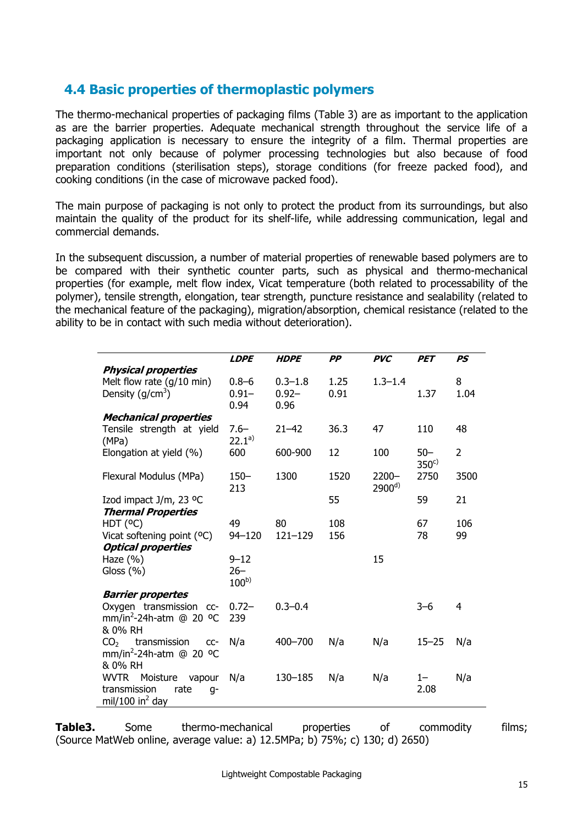## **4.4 Basic properties of thermoplastic polymers**

The thermo-mechanical properties of packaging films (Table 3) are as important to the application as are the barrier properties. Adequate mechanical strength throughout the service life of a packaging application is necessary to ensure the integrity of a film. Thermal properties are important not only because of polymer processing technologies but also because of food preparation conditions (sterilisation steps), storage conditions (for freeze packed food), and cooking conditions (in the case of microwave packed food).

The main purpose of packaging is not only to protect the product from its surroundings, but also maintain the quality of the product for its shelf-life, while addressing communication, legal and commercial demands.

In the subsequent discussion, a number of material properties of renewable based polymers are to be compared with their synthetic counter parts, such as physical and thermo-mechanical properties (for example, melt flow index, Vicat temperature (both related to processability of the polymer), tensile strength, elongation, tear strength, puncture resistance and sealability (related to the mechanical feature of the packaging), migration/absorption, chemical resistance (related to the ability to be in contact with such media without deterioration).

|                                                 | <b>LDPE</b> | <b>HDPE</b> | PP   | <b>PVC</b>  | <b>PET</b>       | PS             |
|-------------------------------------------------|-------------|-------------|------|-------------|------------------|----------------|
| <b>Physical properties</b>                      |             |             |      |             |                  |                |
| Melt flow rate $(g/10 \text{ min})$             | $0.8 - 6$   | $0.3 - 1.8$ | 1.25 | $1.3 - 1.4$ |                  | 8              |
| Density $(g/cm3)$                               | $0.91 -$    | $0.92 -$    | 0.91 |             | 1.37             | 1.04           |
|                                                 | 0.94        | 0.96        |      |             |                  |                |
| <b>Mechanical properties</b>                    |             |             |      |             |                  |                |
| Tensile strength at yield                       | $7.6 -$     | $21 - 42$   | 36.3 | 47          | 110              | 48             |
| (MPa)                                           | $22.1^{a}$  |             |      |             |                  |                |
| Elongation at yield (%)                         | 600         | 600-900     | 12   | 100         | $50 -$           | $\overline{2}$ |
|                                                 |             |             |      |             | 350 <sup>c</sup> |                |
| Flexural Modulus (MPa)                          | $150 -$     | 1300        | 1520 | $2200 -$    | 2750             | 3500           |
|                                                 | 213         |             |      | $2900^{d}$  |                  |                |
| Izod impact J/m, 23 °C                          |             |             | 55   |             | 59               | 21             |
| <b>Thermal Properties</b>                       |             |             |      |             |                  |                |
| HDT (°C)                                        | 49          | 80          | 108  |             | 67               | 106            |
| Vicat softening point (°C)                      | $94 - 120$  | $121 - 129$ | 156  |             | 78               | 99             |
| <b>Optical properties</b>                       |             |             |      |             |                  |                |
| Haze $(\% )$                                    | $9 - 12$    |             |      | 15          |                  |                |
| Gloss $(% )$                                    | $26 -$      |             |      |             |                  |                |
|                                                 | $100^{b}$   |             |      |             |                  |                |
| <b>Barrier propertes</b>                        |             |             |      |             |                  |                |
| Oxygen transmission cc-                         | $0.72 -$    | $0.3 - 0.4$ |      |             | $3 - 6$          | 4              |
| mm/in <sup>2</sup> -24h-atm @ 20 <sup>o</sup> C | 239         |             |      |             |                  |                |
| & 0% RH                                         |             |             |      |             |                  |                |
| $CO2$ transmission<br>CC-                       | N/a         | 400-700     | N/a  | N/a         | $15 - 25$        | N/a            |
| mm/in <sup>2</sup> -24h-atm @ 20 °C             |             |             |      |             |                  |                |
| & 0% RH                                         |             |             |      |             |                  |                |
| <b>WVTR</b><br>Moisture<br>vapour               | N/a         | 130-185     | N/a  | N/a         | $1 -$            | N/a            |
| transmission<br>rate<br>q-                      |             |             |      |             | 2.08             |                |
| mil/100 in <sup>2</sup> day                     |             |             |      |             |                  |                |

**Table3.** Some thermo-mechanical properties of commodity films; (Source MatWeb online, average value: a) 12.5MPa; b) 75%; c) 130; d) 2650)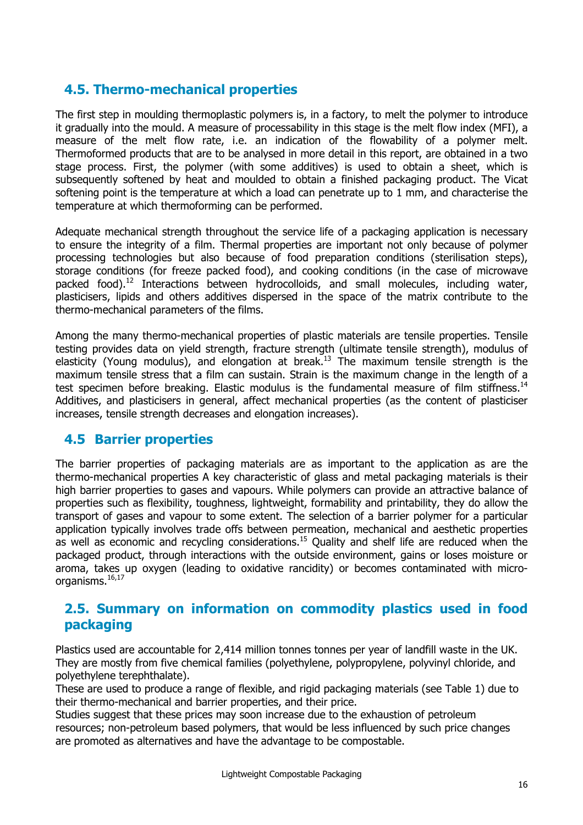## **4.5. Thermo-mechanical properties**

The first step in moulding thermoplastic polymers is, in a factory, to melt the polymer to introduce it gradually into the mould. A measure of processability in this stage is the melt flow index (MFI), a measure of the melt flow rate, i.e. an indication of the flowability of a polymer melt. Thermoformed products that are to be analysed in more detail in this report, are obtained in a two stage process. First, the polymer (with some additives) is used to obtain a sheet, which is subsequently softened by heat and moulded to obtain a finished packaging product. The Vicat softening point is the temperature at which a load can penetrate up to 1 mm, and characterise the temperature at which thermoforming can be performed.

Adequate mechanical strength throughout the service life of a packaging application is necessary to ensure the integrity of a film. Thermal properties are important not only because of polymer processing technologies but also because of food preparation conditions (sterilisation steps), storage conditions (for freeze packed food), and cooking conditions (in the case of microwave packed food).<sup>12</sup> Interactions between hydrocolloids, and small molecules, including water, plasticisers, lipids and others additives dispersed in the space of the matrix contribute to the thermo-mechanical parameters of the films.

Among the many thermo-mechanical properties of plastic materials are tensile properties. Tensile testing provides data on yield strength, fracture strength (ultimate tensile strength), modulus of elasticity (Young modulus), and elongation at break.<sup>13</sup> The maximum tensile strength is the maximum tensile stress that a film can sustain. Strain is the maximum change in the length of a test specimen before breaking. Elastic modulus is the fundamental measure of film stiffness.<sup>14</sup> Additives, and plasticisers in general, affect mechanical properties (as the content of plasticiser increases, tensile strength decreases and elongation increases).

## **4.5 Barrier properties**

The barrier properties of packaging materials are as important to the application as are the thermo-mechanical properties A key characteristic of glass and metal packaging materials is their high barrier properties to gases and vapours. While polymers can provide an attractive balance of properties such as flexibility, toughness, lightweight, formability and printability, they do allow the transport of gases and vapour to some extent. The selection of a barrier polymer for a particular application typically involves trade offs between permeation, mechanical and aesthetic properties as well as economic and recycling considerations.15 Quality and shelf life are reduced when the packaged product, through interactions with the outside environment, gains or loses moisture or aroma, takes up oxygen (leading to oxidative rancidity) or becomes contaminated with microorganisms.16,17

### **2.5. Summary on information on commodity plastics used in food packaging**

Plastics used are accountable for 2,414 million tonnes tonnes per year of landfill waste in the UK. They are mostly from five chemical families (polyethylene, polypropylene, polyvinyl chloride, and polyethylene terephthalate).

These are used to produce a range of flexible, and rigid packaging materials (see Table 1) due to their thermo-mechanical and barrier properties, and their price.

Studies suggest that these prices may soon increase due to the exhaustion of petroleum resources; non-petroleum based polymers, that would be less influenced by such price changes are promoted as alternatives and have the advantage to be compostable.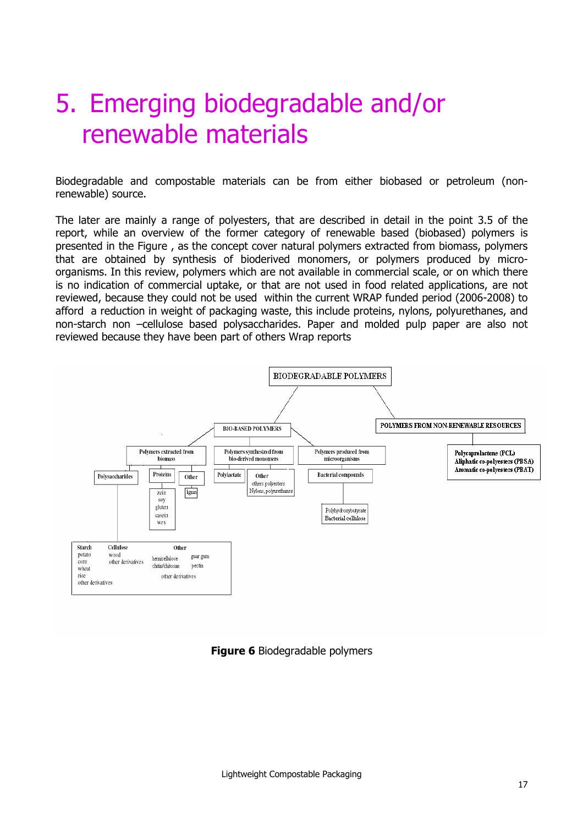## 5. Emerging biodegradable and/or renewable materials

Biodegradable and compostable materials can be from either biobased or petroleum (nonrenewable) source.

The later are mainly a range of polyesters, that are described in detail in the point 3.5 of the report, while an overview of the former category of renewable based (biobased) polymers is presented in the Figure , as the concept cover natural polymers extracted from biomass, polymers that are obtained by synthesis of bioderived monomers, or polymers produced by microorganisms. In this review, polymers which are not available in commercial scale, or on which there is no indication of commercial uptake, or that are not used in food related applications, are not reviewed, because they could not be used within the current WRAP funded period (2006-2008) to afford a reduction in weight of packaging waste, this include proteins, nylons, polyurethanes, and non-starch non –cellulose based polysaccharides. Paper and molded pulp paper are also not reviewed because they have been part of others Wrap reports



#### **Figure 6** Biodegradable polymers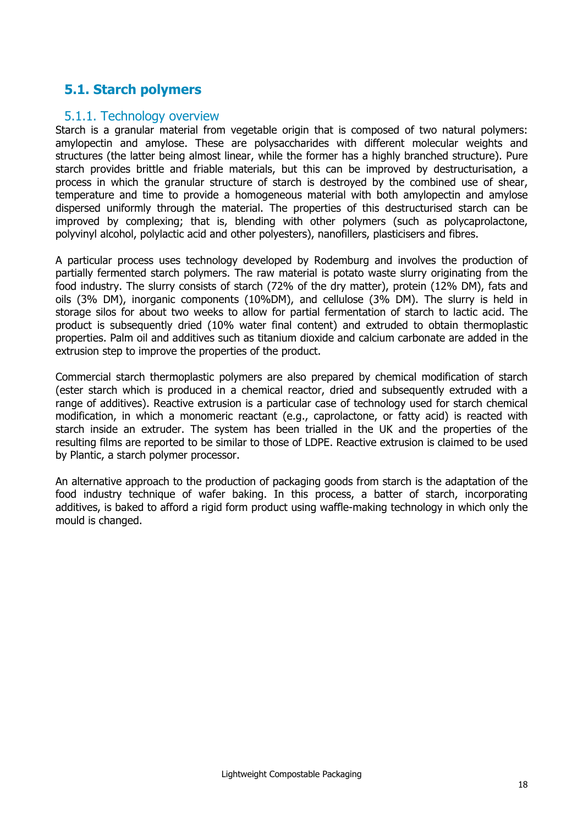## **5.1. Starch polymers**

#### 5.1.1. Technology overview

Starch is a granular material from vegetable origin that is composed of two natural polymers: amylopectin and amylose. These are polysaccharides with different molecular weights and structures (the latter being almost linear, while the former has a highly branched structure). Pure starch provides brittle and friable materials, but this can be improved by destructurisation, a process in which the granular structure of starch is destroyed by the combined use of shear, temperature and time to provide a homogeneous material with both amylopectin and amylose dispersed uniformly through the material. The properties of this destructurised starch can be improved by complexing; that is, blending with other polymers (such as polycaprolactone, polyvinyl alcohol, polylactic acid and other polyesters), nanofillers, plasticisers and fibres.

A particular process uses technology developed by Rodemburg and involves the production of partially fermented starch polymers. The raw material is potato waste slurry originating from the food industry. The slurry consists of starch (72% of the dry matter), protein (12% DM), fats and oils (3% DM), inorganic components (10%DM), and cellulose (3% DM). The slurry is held in storage silos for about two weeks to allow for partial fermentation of starch to lactic acid. The product is subsequently dried (10% water final content) and extruded to obtain thermoplastic properties. Palm oil and additives such as titanium dioxide and calcium carbonate are added in the extrusion step to improve the properties of the product.

Commercial starch thermoplastic polymers are also prepared by chemical modification of starch (ester starch which is produced in a chemical reactor, dried and subsequently extruded with a range of additives). Reactive extrusion is a particular case of technology used for starch chemical modification, in which a monomeric reactant (e.g., caprolactone, or fatty acid) is reacted with starch inside an extruder. The system has been trialled in the UK and the properties of the resulting films are reported to be similar to those of LDPE. Reactive extrusion is claimed to be used by Plantic, a starch polymer processor.

An alternative approach to the production of packaging goods from starch is the adaptation of the food industry technique of wafer baking. In this process, a batter of starch, incorporating additives, is baked to afford a rigid form product using waffle-making technology in which only the mould is changed.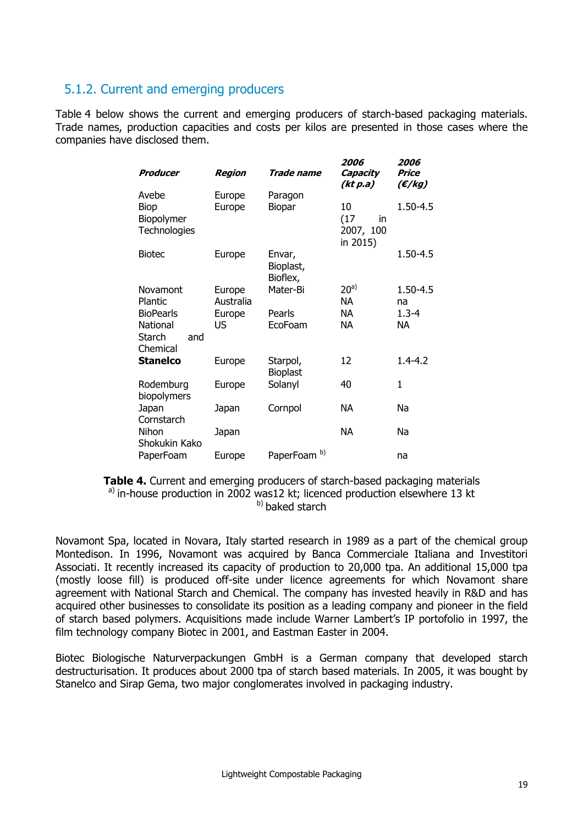### 5.1.2. Current and emerging producers

Table 4 below shows the current and emerging producers of starch-based packaging materials. Trade names, production capacities and costs per kilos are presented in those cases where the companies have disclosed them.

| Producer                                  | Region    | Trade name                      | 2006<br>Capacity<br>(kt p.a)              | 2006<br>Price<br>(E/kg) |
|-------------------------------------------|-----------|---------------------------------|-------------------------------------------|-------------------------|
| Avebe                                     | Europe    | Paragon                         |                                           |                         |
| <b>Biop</b><br>Biopolymer<br>Technologies | Europe    | Biopar                          | 10<br>(17)<br>in<br>2007, 100<br>in 2015) | 1.50-4.5                |
| <b>Biotec</b>                             | Europe    | Envar,<br>Bioplast,<br>Bioflex, |                                           | $1.50 - 4.5$            |
| Novamont                                  | Europe    | Mater-Bi                        | 20 <sup>a</sup>                           | $1.50 - 4.5$            |
| Plantic                                   | Australia |                                 | <b>NA</b>                                 | na                      |
| <b>BioPearls</b>                          | Europe    | Pearls                          | <b>NA</b>                                 | $1.3 - 4$               |
| National<br>Starch<br>and<br>Chemical     | US        | EcoFoam                         | <b>NA</b>                                 | <b>NA</b>               |
| <b>Stanelco</b>                           | Europe    | Starpol,<br><b>Bioplast</b>     | 12                                        | $1.4 - 4.2$             |
| Rodemburg<br>biopolymers                  | Europe    | Solanyl                         | 40                                        | 1                       |
| Japan<br>Cornstarch                       | Japan     | Cornpol                         | NА                                        | Na                      |
| Nihon<br>Shokukin Kako                    | Japan     |                                 | <b>NA</b>                                 | Na                      |
| PaperFoam                                 | Europe    | b)<br>PaperFoam                 |                                           | na                      |

**Table 4.** Current and emerging producers of starch-based packaging materials  $a)$  in-house production in 2002 was12 kt; licenced production elsewhere 13 kt b) baked starch

Novamont Spa, located in Novara, Italy started research in 1989 as a part of the chemical group Montedison. In 1996, Novamont was acquired by Banca Commerciale Italiana and Investitori Associati. It recently increased its capacity of production to 20,000 tpa. An additional 15,000 tpa (mostly loose fill) is produced off-site under licence agreements for which Novamont share agreement with National Starch and Chemical. The company has invested heavily in R&D and has acquired other businesses to consolidate its position as a leading company and pioneer in the field of starch based polymers. Acquisitions made include Warner Lambert's IP portofolio in 1997, the film technology company Biotec in 2001, and Eastman Easter in 2004.

Biotec Biologische Naturverpackungen GmbH is a German company that developed starch destructurisation. It produces about 2000 tpa of starch based materials. In 2005, it was bought by Stanelco and Sirap Gema, two major conglomerates involved in packaging industry.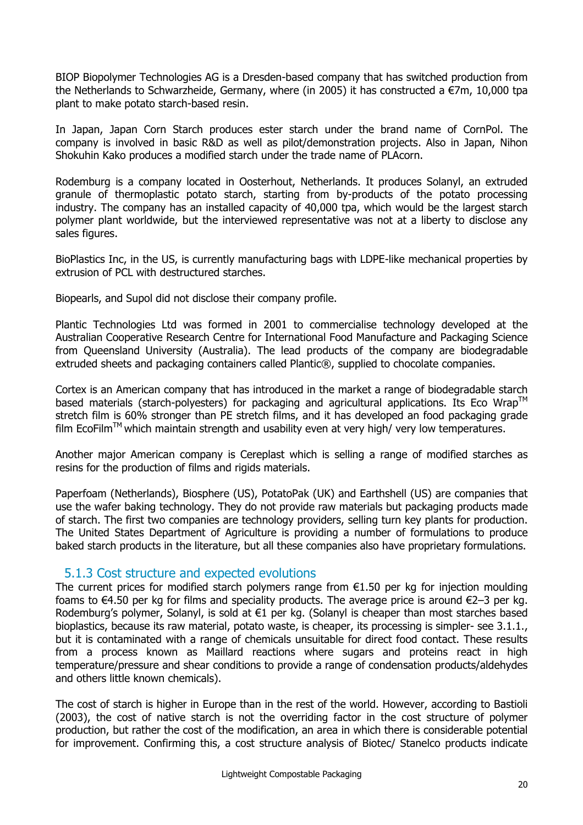BIOP Biopolymer Technologies AG is a Dresden-based company that has switched production from the Netherlands to Schwarzheide, Germany, where (in 2005) it has constructed a €7m, 10,000 tpa plant to make potato starch-based resin.

In Japan, Japan Corn Starch produces ester starch under the brand name of CornPol. The company is involved in basic R&D as well as pilot/demonstration projects. Also in Japan, Nihon Shokuhin Kako produces a modified starch under the trade name of PLAcorn.

Rodemburg is a company located in Oosterhout, Netherlands. It produces Solanyl, an extruded granule of thermoplastic potato starch, starting from by-products of the potato processing industry. The company has an installed capacity of 40,000 tpa, which would be the largest starch polymer plant worldwide, but the interviewed representative was not at a liberty to disclose any sales figures.

BioPlastics Inc, in the US, is currently manufacturing bags with LDPE-like mechanical properties by extrusion of PCL with destructured starches.

Biopearls, and Supol did not disclose their company profile.

Plantic Technologies Ltd was formed in 2001 to commercialise technology developed at the Australian Cooperative Research Centre for International Food Manufacture and Packaging Science from Queensland University (Australia). The lead products of the company are biodegradable extruded sheets and packaging containers called Plantic®, supplied to chocolate companies.

Cortex is an American company that has introduced in the market a range of biodegradable starch based materials (starch-polvesters) for packaging and agricultural applications. Its Eco Wrap<sup>TM</sup> stretch film is 60% stronger than PE stretch films, and it has developed an food packaging grade  $f_i$  film EcoFilm<sup>TM</sup> which maintain strength and usability even at very high/ very low temperatures.

Another major American company is Cereplast which is selling a range of modified starches as resins for the production of films and rigids materials.

Paperfoam (Netherlands), Biosphere (US), PotatoPak (UK) and Earthshell (US) are companies that use the wafer baking technology. They do not provide raw materials but packaging products made of starch. The first two companies are technology providers, selling turn key plants for production. The United States Department of Agriculture is providing a number of formulations to produce baked starch products in the literature, but all these companies also have proprietary formulations.

#### 5.1.3 Cost structure and expected evolutions

The current prices for modified starch polymers range from  $E1.50$  per kg for injection moulding foams to  $\epsilon$ 4.50 per kg for films and speciality products. The average price is around  $\epsilon$ 2–3 per kg. Rodemburg's polymer, Solanyl, is sold at €1 per kg. (Solanyl is cheaper than most starches based bioplastics, because its raw material, potato waste, is cheaper, its processing is simpler- see 3.1.1., but it is contaminated with a range of chemicals unsuitable for direct food contact. These results from a process known as Maillard reactions where sugars and proteins react in high temperature/pressure and shear conditions to provide a range of condensation products/aldehydes and others little known chemicals).

The cost of starch is higher in Europe than in the rest of the world. However, according to Bastioli (2003), the cost of native starch is not the overriding factor in the cost structure of polymer production, but rather the cost of the modification, an area in which there is considerable potential for improvement. Confirming this, a cost structure analysis of Biotec/ Stanelco products indicate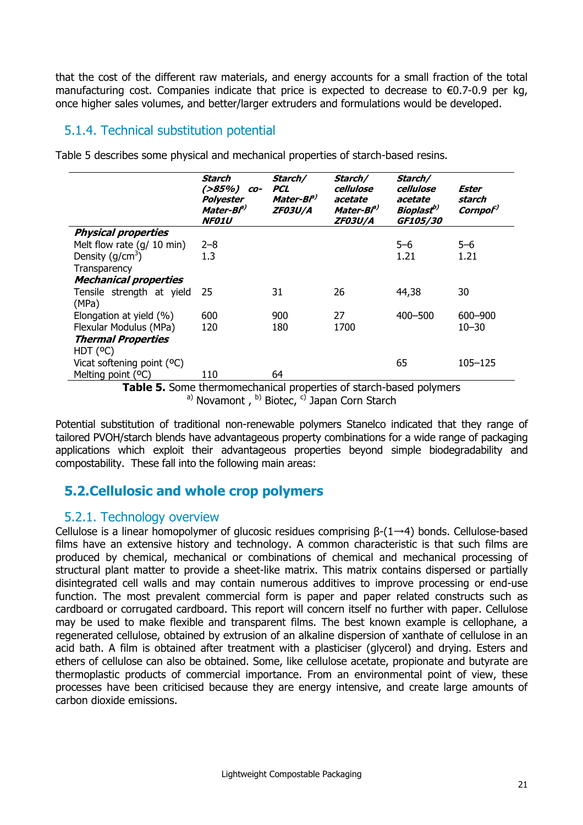that the cost of the different raw materials, and energy accounts for a small fraction of the total manufacturing cost. Companies indicate that price is expected to decrease to  $\epsilon$ 0.7-0.9 per kg, once higher sales volumes, and better/larger extruders and formulations would be developed.

## 5.1.4. Technical substitution potential

|                                     | Starch<br>(>85%)<br>CO-<br>Polyester<br>Mater-Bi <sup>a)</sup><br><b>NF01U</b> | Starch/<br><b>PCL</b><br>Mater-Bi <sup>p)</sup><br><b>ZF03U/A</b> | Starch/<br>cellulose<br>acetate<br>Mater-Bi <sup>p)</sup><br><i>ZF03U/A</i> | Starch/<br>cellulose<br>acetate<br>Bioplast <sup>b)</sup><br>GF105/30 | Ester<br>starch<br>Cornpo <sup>r)</sup> |
|-------------------------------------|--------------------------------------------------------------------------------|-------------------------------------------------------------------|-----------------------------------------------------------------------------|-----------------------------------------------------------------------|-----------------------------------------|
| <b>Physical properties</b>          |                                                                                |                                                                   |                                                                             |                                                                       |                                         |
| Melt flow rate $(g/10 \text{ min})$ | $2 - 8$                                                                        |                                                                   |                                                                             | $5 - 6$                                                               | $5 - 6$                                 |
| Density $(q/cm^3)$                  | 1.3                                                                            |                                                                   |                                                                             | 1.21                                                                  | 1.21                                    |
| Transparency                        |                                                                                |                                                                   |                                                                             |                                                                       |                                         |
| <b>Mechanical properties</b>        |                                                                                |                                                                   |                                                                             |                                                                       |                                         |
| Tensile strength at yield<br>(MPa)  | 25                                                                             | 31                                                                | 26                                                                          | 44,38                                                                 | 30                                      |
| Elongation at yield (%)             | 600                                                                            | 900                                                               | 27                                                                          | 400-500                                                               | 600-900                                 |
| Flexular Modulus (MPa)              | 120                                                                            | 180                                                               | 1700                                                                        |                                                                       | $10 - 30$                               |
| <b>Thermal Properties</b>           |                                                                                |                                                                   |                                                                             |                                                                       |                                         |
| HDT (°C)                            |                                                                                |                                                                   |                                                                             |                                                                       |                                         |
| Vicat softening point $(°C)$        |                                                                                |                                                                   |                                                                             | 65                                                                    | 105–125                                 |
| Melting point (°C)                  | 110                                                                            | 64                                                                |                                                                             |                                                                       |                                         |

Table 5 describes some physical and mechanical properties of starch-based resins.

**Table 5.** Some thermomechanical properties of starch-based polymers a) Novamont,  $b$ ) Biotec,  $c$ ) Japan Corn Starch

Potential substitution of traditional non-renewable polymers Stanelco indicated that they range of tailored PVOH/starch blends have advantageous property combinations for a wide range of packaging applications which exploit their advantageous properties beyond simple biodegradability and compostability. These fall into the following main areas:

## **5.2.Cellulosic and whole crop polymers**

#### 5.2.1. Technology overview

Cellulose is a linear homopolymer of glucosic residues comprising  $\beta$ - $(1 \rightarrow 4)$  bonds. Cellulose-based films have an extensive history and technology. A common characteristic is that such films are produced by chemical, mechanical or combinations of chemical and mechanical processing of structural plant matter to provide a sheet-like matrix. This matrix contains dispersed or partially disintegrated cell walls and may contain numerous additives to improve processing or end-use function. The most prevalent commercial form is paper and paper related constructs such as cardboard or corrugated cardboard. This report will concern itself no further with paper. Cellulose may be used to make flexible and transparent films. The best known example is cellophane, a regenerated cellulose, obtained by extrusion of an alkaline dispersion of xanthate of cellulose in an acid bath. A film is obtained after treatment with a plasticiser (glycerol) and drying. Esters and ethers of cellulose can also be obtained. Some, like cellulose acetate, propionate and butyrate are thermoplastic products of commercial importance. From an environmental point of view, these processes have been criticised because they are energy intensive, and create large amounts of carbon dioxide emissions.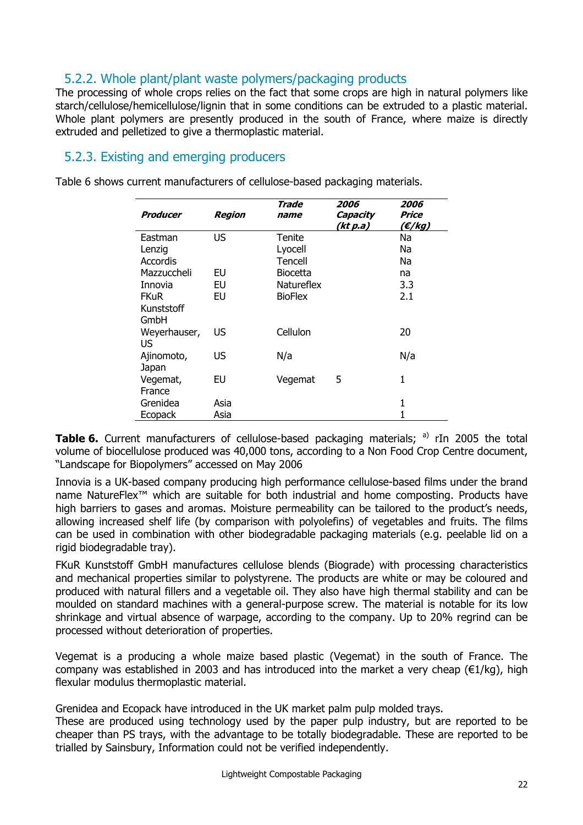## 5.2.2. Whole plant/plant waste polymers/packaging products

The processing of whole crops relies on the fact that some crops are high in natural polymers like starch/cellulose/hemicellulose/lignin that in some conditions can be extruded to a plastic material. Whole plant polymers are presently produced in the south of France, where maize is directly extruded and pelletized to give a thermoplastic material.

### 5.2.3. Existing and emerging producers

Table 6 shows current manufacturers of cellulose-based packaging materials.

| Producer           | <b>Region</b> | Trade<br>name     | 2006<br>Capacity<br>(kt p.a) | 2006<br>Price<br>$(\epsilon$ /kg) |
|--------------------|---------------|-------------------|------------------------------|-----------------------------------|
| Eastman            | US            | Tenite            |                              | Na                                |
| Lenzig             |               | Lyocell           |                              | Na                                |
| Accordis           |               | Tencell           |                              | Na                                |
| Mazzuccheli        | EU            | <b>Biocetta</b>   |                              | na                                |
| Innovia            | EU            | <b>Natureflex</b> |                              | 3.3                               |
| <b>FKuR</b>        | EU            | <b>BioFlex</b>    |                              | 2.1                               |
| Kunststoff         |               |                   |                              |                                   |
| GmbH               |               |                   |                              |                                   |
| Weyerhauser,<br>US | US            | Cellulon          |                              | 20                                |
| Ajinomoto,         | US            | N/a               |                              | N/a                               |
| Japan              |               |                   |                              |                                   |
| Vegemat,           | EU            | Vegemat           | 5                            | 1                                 |
| France             |               |                   |                              |                                   |
| Grenidea           | Asia          |                   |                              | 1                                 |
| Ecopack            | Asia          |                   |                              |                                   |

**Table 6.** Current manufacturers of cellulose-based packaging materials; a) rIn 2005 the total volume of biocellulose produced was 40,000 tons, according to a Non Food Crop Centre document, "Landscape for Biopolymers" accessed on May 2006

Innovia is a UK-based company producing high performance cellulose-based films under the brand name NatureFlex™ which are suitable for both industrial and home composting. Products have high barriers to gases and aromas. Moisture permeability can be tailored to the product's needs, allowing increased shelf life (by comparison with polyolefins) of vegetables and fruits. The films can be used in combination with other biodegradable packaging materials (e.g. peelable lid on a rigid biodegradable tray).

FKuR Kunststoff GmbH manufactures cellulose blends (Biograde) with processing characteristics and mechanical properties similar to polystyrene. The products are white or may be coloured and produced with natural fillers and a vegetable oil. They also have high thermal stability and can be moulded on standard machines with a general-purpose screw. The material is notable for its low shrinkage and virtual absence of warpage, according to the company. Up to 20% regrind can be processed without deterioration of properties.

Vegemat is a producing a whole maize based plastic (Vegemat) in the south of France. The company was established in 2003 and has introduced into the market a very cheap ( $\epsilon$ 1/kg), high flexular modulus thermoplastic material.

Grenidea and Ecopack have introduced in the UK market palm pulp molded trays.

These are produced using technology used by the paper pulp industry, but are reported to be cheaper than PS trays, with the advantage to be totally biodegradable. These are reported to be trialled by Sainsbury, Information could not be verified independently.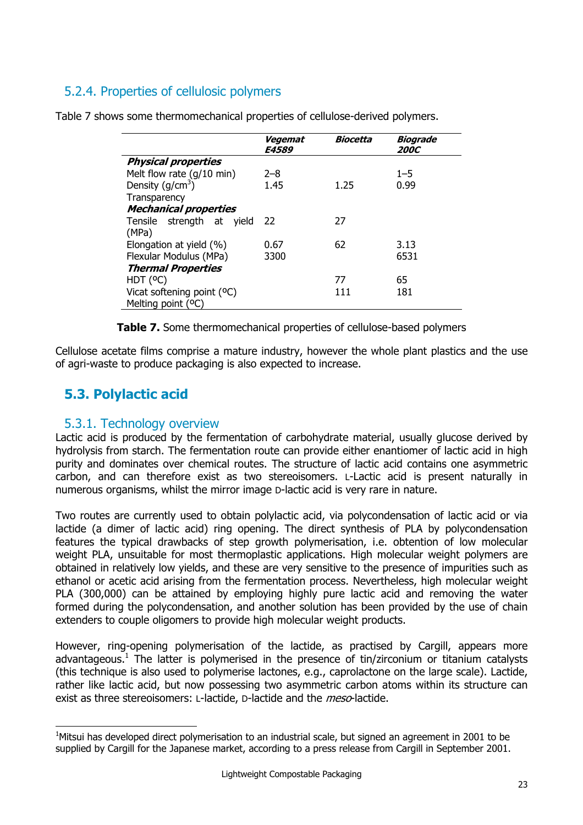## 5.2.4. Properties of cellulosic polymers

|                                     | Vegemat<br><b>E4589</b> | Biocetta | Biograde<br><i><b>200C</b></i> |
|-------------------------------------|-------------------------|----------|--------------------------------|
| <b>Physical properties</b>          |                         |          |                                |
| Melt flow rate $(g/10 \text{ min})$ | $2 - 8$                 |          | $1 - 5$                        |
| Density ( $g/cm3$ )                 | 1.45                    | 1.25     | 0.99                           |
| Transparency                        |                         |          |                                |
| <b>Mechanical properties</b>        |                         |          |                                |
| Tensile strength at yield           | - 22                    | 27       |                                |
| (MPa)                               |                         |          |                                |
| Elongation at yield (%)             | 0.67                    | 62       | 3.13                           |
| Flexular Modulus (MPa)              | 3300                    |          | 6531                           |
| <b>Thermal Properties</b>           |                         |          |                                |
| HDT (°C)                            |                         | 77       | 65                             |
| Vicat softening point (°C)          |                         | 111      | 181                            |
| Melting point (°C)                  |                         |          |                                |

Table 7 shows some thermomechanical properties of cellulose-derived polymers.

**Table 7.** Some thermomechanical properties of cellulose-based polymers

Cellulose acetate films comprise a mature industry, however the whole plant plastics and the use of agri-waste to produce packaging is also expected to increase.

## **5.3. Polylactic acid**

j

#### 5.3.1. Technology overview

Lactic acid is produced by the fermentation of carbohydrate material, usually glucose derived by hydrolysis from starch. The fermentation route can provide either enantiomer of lactic acid in high purity and dominates over chemical routes. The structure of lactic acid contains one asymmetric carbon, and can therefore exist as two stereoisomers. L-Lactic acid is present naturally in numerous organisms, whilst the mirror image D-lactic acid is very rare in nature.

Two routes are currently used to obtain polylactic acid, via polycondensation of lactic acid or via lactide (a dimer of lactic acid) ring opening. The direct synthesis of PLA by polycondensation features the typical drawbacks of step growth polymerisation, i.e. obtention of low molecular weight PLA, unsuitable for most thermoplastic applications. High molecular weight polymers are obtained in relatively low yields, and these are very sensitive to the presence of impurities such as ethanol or acetic acid arising from the fermentation process. Nevertheless, high molecular weight PLA (300,000) can be attained by employing highly pure lactic acid and removing the water formed during the polycondensation, and another solution has been provided by the use of chain extenders to couple oligomers to provide high molecular weight products.

However, ring-opening polymerisation of the lactide, as practised by Cargill, appears more advantageous.<sup>1</sup> The latter is polymerised in the presence of tin/zirconium or titanium catalysts (this technique is also used to polymerise lactones, e.g., caprolactone on the large scale). Lactide, rather like lactic acid, but now possessing two asymmetric carbon atoms within its structure can exist as three stereoisomers: L-lactide, D-lactide and the *meso*-lactide.

<sup>&</sup>lt;sup>1</sup>Mitsui has developed direct polymerisation to an industrial scale, but signed an agreement in 2001 to be supplied by Cargill for the Japanese market, according to a press release from Cargill in September 2001.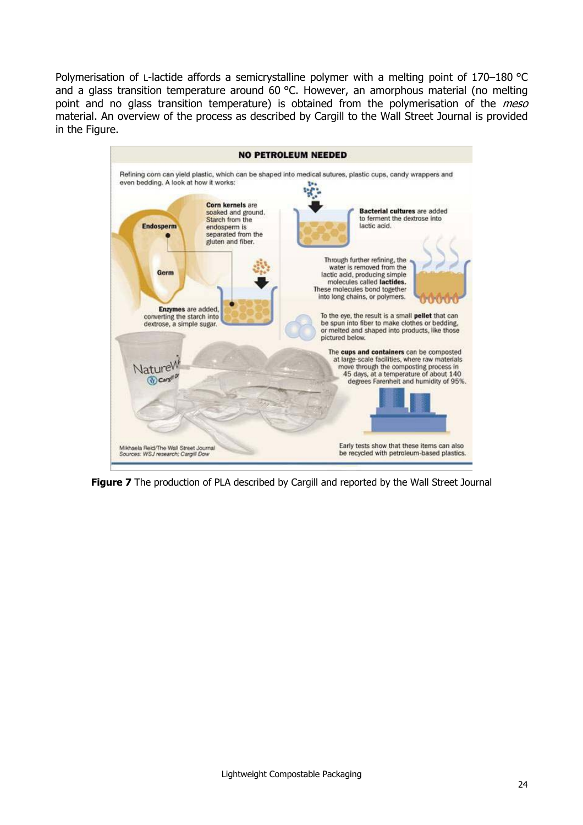Polymerisation of L-lactide affords a semicrystalline polymer with a melting point of 170–180 °C and a glass transition temperature around 60 °C. However, an amorphous material (no melting point and no glass transition temperature) is obtained from the polymerisation of the *meso* material. An overview of the process as described by Cargill to the Wall Street Journal is provided in the Figure.



**Figure 7** The production of PLA described by Cargill and reported by the Wall Street Journal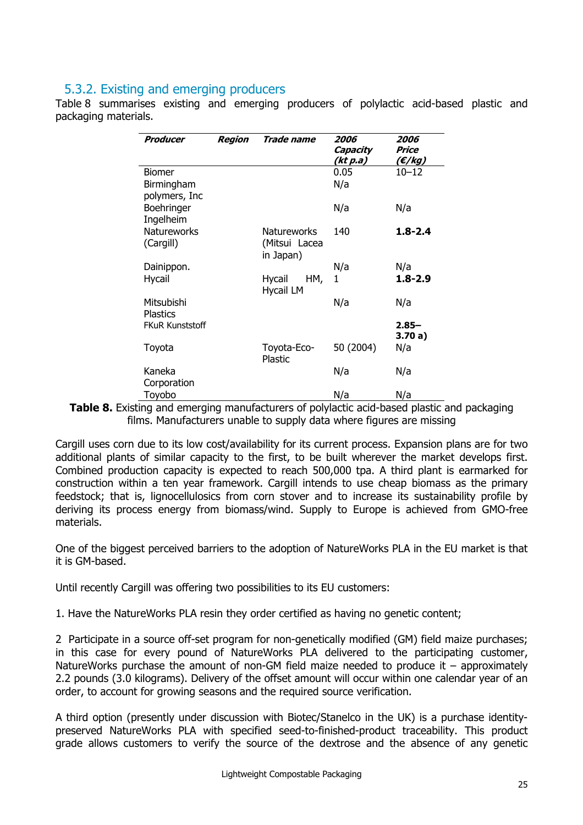#### 5.3.2. Existing and emerging producers

Table 8 summarises existing and emerging producers of polylactic acid-based plastic and packaging materials.

| Producer               | Region | Trade name         | 2006<br>Capacity<br>(kt p.a) | 2006<br>Price<br>(€/kg) |
|------------------------|--------|--------------------|------------------------------|-------------------------|
| <b>Biomer</b>          |        |                    | 0.05                         | $10 - 12$               |
| Birmingham             |        |                    | N/a                          |                         |
| polymers, Inc          |        |                    |                              |                         |
| Boehringer             |        |                    | N/a                          | N/a                     |
| Ingelheim              |        |                    |                              |                         |
| Natureworks            |        | <b>Natureworks</b> | 140                          | $1.8 - 2.4$             |
| (Cargill)              |        | (Mitsui Lacea      |                              |                         |
|                        |        | in Japan)          |                              |                         |
| Dainippon.             |        |                    | N/a                          | N/a                     |
| <b>Hycail</b>          |        | HM,<br>Hycail      | 1                            | $1.8 - 2.9$             |
|                        |        | <b>Hycail LM</b>   |                              |                         |
| Mitsubishi             |        |                    | N/a                          | N/a                     |
| <b>Plastics</b>        |        |                    |                              |                         |
| <b>FKuR Kunststoff</b> |        |                    |                              | $2.85 -$<br>3.70a)      |
| Toyota                 |        | Toyota-Eco-        | 50 (2004)                    | N/a                     |
|                        |        | Plastic            |                              |                         |
| Kaneka                 |        |                    | N/a                          | N/a                     |
| Corporation            |        |                    |                              |                         |
| Toyobo                 |        |                    | N/a                          | N/a                     |

**Table 8.** Existing and emerging manufacturers of polylactic acid-based plastic and packaging films. Manufacturers unable to supply data where figures are missing

Cargill uses corn due to its low cost/availability for its current process. Expansion plans are for two additional plants of similar capacity to the first, to be built wherever the market develops first. Combined production capacity is expected to reach 500,000 tpa. A third plant is earmarked for construction within a ten year framework. Cargill intends to use cheap biomass as the primary feedstock; that is, lignocellulosics from corn stover and to increase its sustainability profile by deriving its process energy from biomass/wind. Supply to Europe is achieved from GMO-free materials.

One of the biggest perceived barriers to the adoption of NatureWorks PLA in the EU market is that it is GM-based.

Until recently Cargill was offering two possibilities to its EU customers:

1. Have the NatureWorks PLA resin they order certified as having no genetic content;

2 Participate in a source off-set program for non-genetically modified (GM) field maize purchases; in this case for every pound of NatureWorks PLA delivered to the participating customer, NatureWorks purchase the amount of non-GM field maize needed to produce it – approximately 2.2 pounds (3.0 kilograms). Delivery of the offset amount will occur within one calendar year of an order, to account for growing seasons and the required source verification.

A third option (presently under discussion with Biotec/Stanelco in the UK) is a purchase identitypreserved NatureWorks PLA with specified seed-to-finished-product traceability. This product grade allows customers to verify the source of the dextrose and the absence of any genetic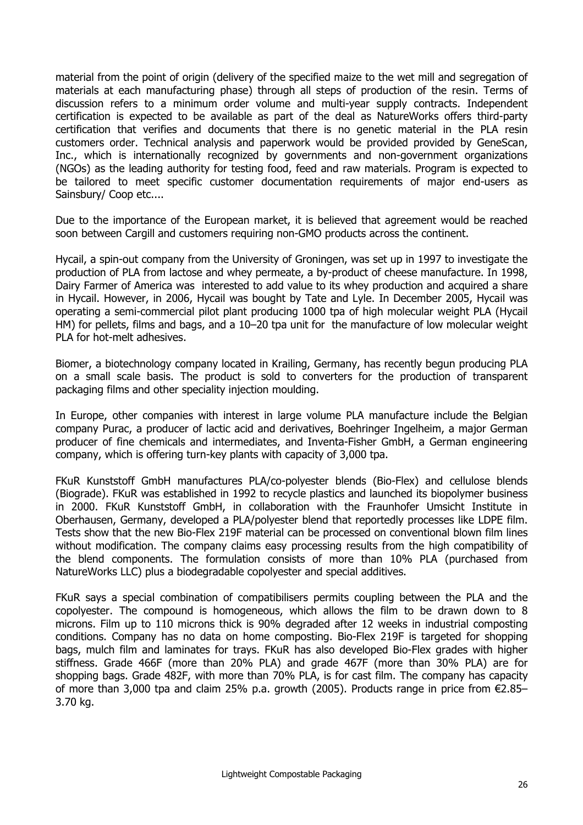material from the point of origin (delivery of the specified maize to the wet mill and segregation of materials at each manufacturing phase) through all steps of production of the resin. Terms of discussion refers to a minimum order volume and multi-year supply contracts. Independent certification is expected to be available as part of the deal as NatureWorks offers third-party certification that verifies and documents that there is no genetic material in the PLA resin customers order. Technical analysis and paperwork would be provided provided by GeneScan, Inc., which is internationally recognized by governments and non-government organizations (NGOs) as the leading authority for testing food, feed and raw materials. Program is expected to be tailored to meet specific customer documentation requirements of major end-users as Sainsbury/ Coop etc....

Due to the importance of the European market, it is believed that agreement would be reached soon between Cargill and customers requiring non-GMO products across the continent.

Hycail, a spin-out company from the University of Groningen, was set up in 1997 to investigate the production of PLA from lactose and whey permeate, a by-product of cheese manufacture. In 1998, Dairy Farmer of America was interested to add value to its whey production and acquired a share in Hycail. However, in 2006, Hycail was bought by Tate and Lyle. In December 2005, Hycail was operating a semi-commercial pilot plant producing 1000 tpa of high molecular weight PLA (Hycail HM) for pellets, films and bags, and a 10–20 tpa unit for the manufacture of low molecular weight PLA for hot-melt adhesives.

Biomer, a biotechnology company located in Krailing, Germany, has recently begun producing PLA on a small scale basis. The product is sold to converters for the production of transparent packaging films and other speciality injection moulding.

In Europe, other companies with interest in large volume PLA manufacture include the Belgian company Purac, a producer of lactic acid and derivatives, Boehringer Ingelheim, a major German producer of fine chemicals and intermediates, and Inventa-Fisher GmbH, a German engineering company, which is offering turn-key plants with capacity of 3,000 tpa.

FKuR Kunststoff GmbH manufactures PLA/co-polyester blends (Bio-Flex) and cellulose blends (Biograde). FKuR was established in 1992 to recycle plastics and launched its biopolymer business in 2000. FKuR Kunststoff GmbH, in collaboration with the Fraunhofer Umsicht Institute in Oberhausen, Germany, developed a PLA/polyester blend that reportedly processes like LDPE film. Tests show that the new Bio-Flex 219F material can be processed on conventional blown film lines without modification. The company claims easy processing results from the high compatibility of the blend components. The formulation consists of more than 10% PLA (purchased from NatureWorks LLC) plus a biodegradable copolyester and special additives.

FKuR says a special combination of compatibilisers permits coupling between the PLA and the copolyester. The compound is homogeneous, which allows the film to be drawn down to 8 microns. Film up to 110 microns thick is 90% degraded after 12 weeks in industrial composting conditions. Company has no data on home composting. Bio-Flex 219F is targeted for shopping bags, mulch film and laminates for trays. FKuR has also developed Bio-Flex grades with higher stiffness. Grade 466F (more than 20% PLA) and grade 467F (more than 30% PLA) are for shopping bags. Grade 482F, with more than 70% PLA, is for cast film. The company has capacity of more than 3,000 tpa and claim 25% p.a. growth (2005). Products range in price from  $\epsilon$ 2.85– 3.70 kg.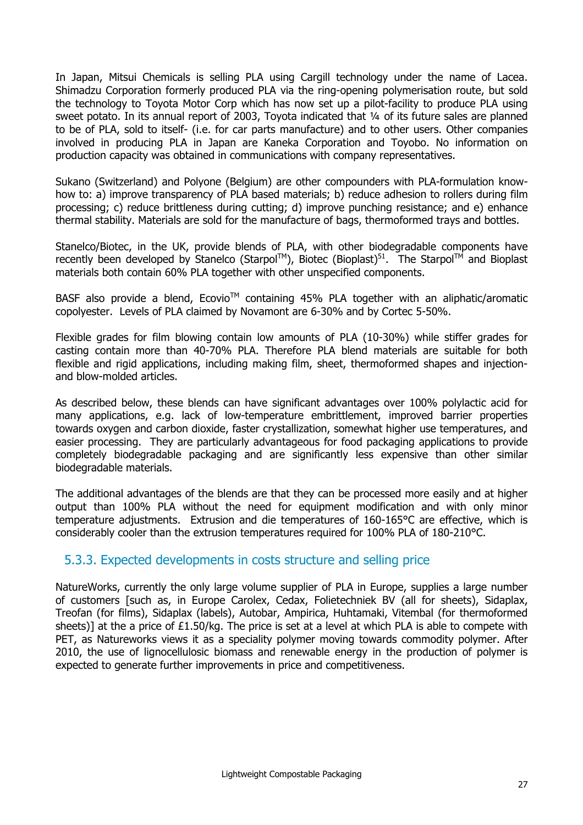In Japan, Mitsui Chemicals is selling PLA using Cargill technology under the name of Lacea. Shimadzu Corporation formerly produced PLA via the ring-opening polymerisation route, but sold the technology to Toyota Motor Corp which has now set up a pilot-facility to produce PLA using sweet potato. In its annual report of 2003, Toyota indicated that 1/4 of its future sales are planned to be of PLA, sold to itself- (i.e. for car parts manufacture) and to other users. Other companies involved in producing PLA in Japan are Kaneka Corporation and Toyobo. No information on production capacity was obtained in communications with company representatives.

Sukano (Switzerland) and Polyone (Belgium) are other compounders with PLA-formulation knowhow to: a) improve transparency of PLA based materials; b) reduce adhesion to rollers during film processing; c) reduce brittleness during cutting; d) improve punching resistance; and e) enhance thermal stability. Materials are sold for the manufacture of bags, thermoformed trays and bottles.

Stanelco/Biotec, in the UK, provide blends of PLA, with other biodegradable components have recently been developed by Stanelco (Starpol<sup>TM</sup>), Biotec (Bioplast)<sup>51</sup>. The Starpol<sup>TM</sup> and Bioplast materials both contain 60% PLA together with other unspecified components.

BASF also provide a blend, Ecovio™ containing 45% PLA together with an aliphatic/aromatic copolyester. Levels of PLA claimed by Novamont are 6-30% and by Cortec 5-50%.

Flexible grades for film blowing contain low amounts of PLA (10-30%) while stiffer grades for casting contain more than 40-70% PLA. Therefore PLA blend materials are suitable for both flexible and rigid applications, including making film, sheet, thermoformed shapes and injectionand blow-molded articles.

As described below, these blends can have significant advantages over 100% polylactic acid for many applications, e.g. lack of low-temperature embrittlement, improved barrier properties towards oxygen and carbon dioxide, faster crystallization, somewhat higher use temperatures, and easier processing. They are particularly advantageous for food packaging applications to provide completely biodegradable packaging and are significantly less expensive than other similar biodegradable materials.

The additional advantages of the blends are that they can be processed more easily and at higher output than 100% PLA without the need for equipment modification and with only minor temperature adjustments. Extrusion and die temperatures of 160-165°C are effective, which is considerably cooler than the extrusion temperatures required for 100% PLA of 180-210°C.

### 5.3.3. Expected developments in costs structure and selling price

NatureWorks, currently the only large volume supplier of PLA in Europe, supplies a large number of customers [such as, in Europe Carolex, Cedax, Folietechniek BV (all for sheets), Sidaplax, Treofan (for films), Sidaplax (labels), Autobar, Ampirica, Huhtamaki, Vitembal (for thermoformed sheets)] at the a price of £1.50/kg. The price is set at a level at which PLA is able to compete with PET, as Natureworks views it as a speciality polymer moving towards commodity polymer. After 2010, the use of lignocellulosic biomass and renewable energy in the production of polymer is expected to generate further improvements in price and competitiveness.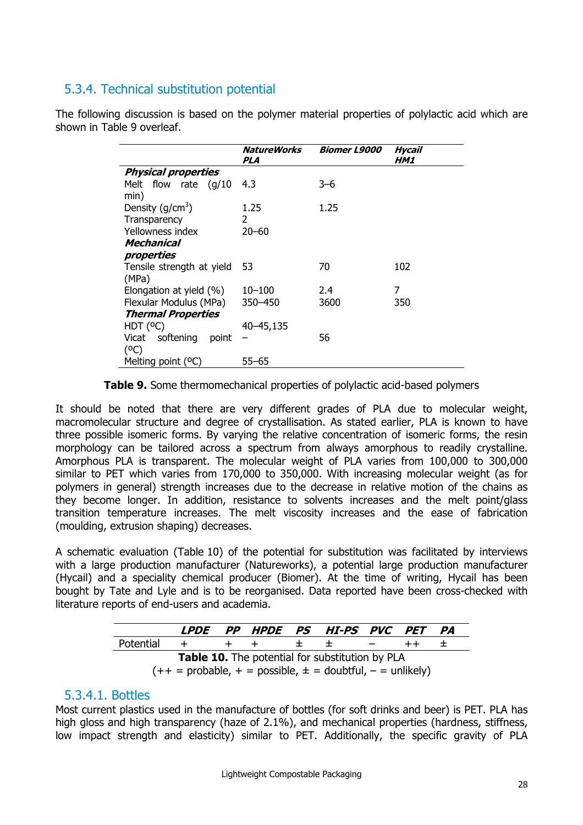## 5.3.4. Technical substitution potential

The following discussion is based on the polymer material properties of polylactic acid which are shown in Table 9 overleaf.

|                             | <b>NatureWorks</b><br>PLA | <b>Biomer L9000</b> | <b>Hycail</b><br>HM1 |
|-----------------------------|---------------------------|---------------------|----------------------|
| <b>Physical properties</b>  |                           |                     |                      |
| Melt flow rate $(g/10)$     | 4.3                       | $3 - 6$             |                      |
| min)                        |                           |                     |                      |
| Density $(g/cm3)$           | 1.25                      | 1.25                |                      |
| Transparency                | 2                         |                     |                      |
| Yellowness index            | $20 - 60$                 |                     |                      |
| Mechanical                  |                           |                     |                      |
| properties                  |                           |                     |                      |
| Tensile strength at yield   | 53                        | 70                  | 102                  |
| (MPa)                       |                           |                     |                      |
| Elongation at yield (%)     | $10 - 100$                | 2.4                 | 7                    |
| Flexular Modulus (MPa)      | 350 - 450                 | 3600                | 350                  |
| <b>Thermal Properties</b>   |                           |                     |                      |
| HDT (°C)                    | 40–45,135                 |                     |                      |
| softening<br>Vicat<br>point |                           | 56                  |                      |
| (°C)                        |                           |                     |                      |
| Melting point (°C)          | $55 - 65$                 |                     |                      |

**Table 9.** Some thermomechanical properties of polylactic acid-based polymers

It should be noted that there are very different grades of PLA due to molecular weight, macromolecular structure and degree of crystallisation. As stated earlier, PLA is known to have three possible isomeric forms. By varying the relative concentration of isomeric forms, the resin morphology can be tailored across a spectrum from always amorphous to readily crystalline. Amorphous PLA is transparent. The molecular weight of PLA varies from 100,000 to 300,000 similar to PET which varies from 170,000 to 350,000. With increasing molecular weight (as for polymers in general) strength increases due to the decrease in relative motion of the chains as they become longer. In addition, resistance to solvents increases and the melt point/glass transition temperature increases. The melt viscosity increases and the ease of fabrication (moulding, extrusion shaping) decreases.

A schematic evaluation (Table 10) of the potential for substitution was facilitated by interviews with a large production manufacturer (Natureworks), a potential large production manufacturer (Hycail) and a speciality chemical producer (Biomer). At the time of writing, Hycail has been bought by Tate and Lyle and is to be reorganised. Data reported have been cross-checked with literature reports of end-users and academia.

|                                                                 |         |  |         |  | <i>LPDE PP HPDE PS HI-PS PVC PET</i> |            |  | <i>PA</i> |
|-----------------------------------------------------------------|---------|--|---------|--|--------------------------------------|------------|--|-----------|
| Potential                                                       | $+$ $-$ |  | $+$ $+$ |  | こうきょう まいこう                           | $\sim$ $-$ |  |           |
| <b>Table 10.</b> The potential for substitution by PLA          |         |  |         |  |                                      |            |  |           |
| $(++$ = probable, + = possible, $\pm$ = doubtful, - = unlikely) |         |  |         |  |                                      |            |  |           |

#### 5.3.4.1. Bottles

Most current plastics used in the manufacture of bottles (for soft drinks and beer) is PET. PLA has high gloss and high transparency (haze of 2.1%), and mechanical properties (hardness, stiffness, low impact strength and elasticity) similar to PET. Additionally, the specific gravity of PLA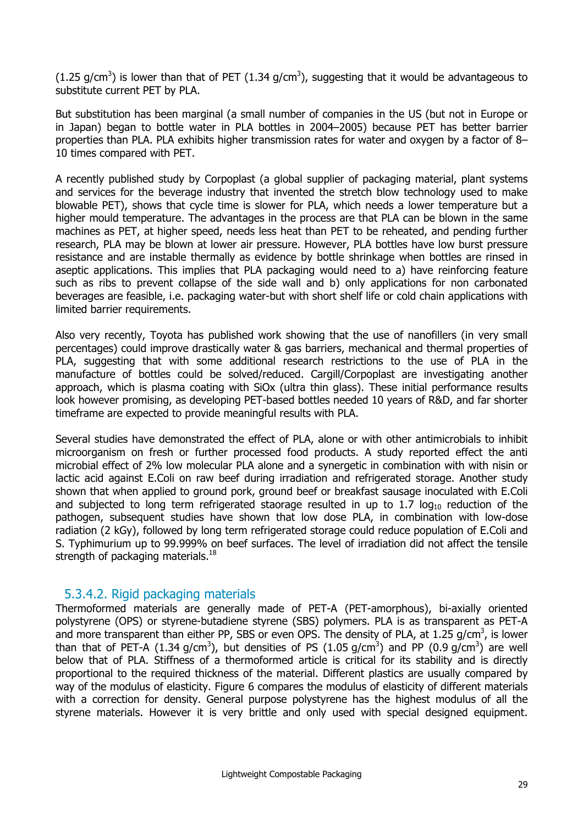(1.25 g/cm<sup>3</sup>) is lower than that of PET (1.34 g/cm<sup>3</sup>), suggesting that it would be advantageous to substitute current PET by PLA.

But substitution has been marginal (a small number of companies in the US (but not in Europe or in Japan) began to bottle water in PLA bottles in 2004–2005) because PET has better barrier properties than PLA. PLA exhibits higher transmission rates for water and oxygen by a factor of 8– 10 times compared with PET.

A recently published study by Corpoplast (a global supplier of packaging material, plant systems and services for the beverage industry that invented the stretch blow technology used to make blowable PET), shows that cycle time is slower for PLA, which needs a lower temperature but a higher mould temperature. The advantages in the process are that PLA can be blown in the same machines as PET, at higher speed, needs less heat than PET to be reheated, and pending further research, PLA may be blown at lower air pressure. However, PLA bottles have low burst pressure resistance and are instable thermally as evidence by bottle shrinkage when bottles are rinsed in aseptic applications. This implies that PLA packaging would need to a) have reinforcing feature such as ribs to prevent collapse of the side wall and b) only applications for non carbonated beverages are feasible, i.e. packaging water-but with short shelf life or cold chain applications with limited barrier requirements.

Also very recently, Toyota has published work showing that the use of nanofillers (in very small percentages) could improve drastically water & gas barriers, mechanical and thermal properties of PLA, suggesting that with some additional research restrictions to the use of PLA in the manufacture of bottles could be solved/reduced. Cargill/Corpoplast are investigating another approach, which is plasma coating with SiOx (ultra thin glass). These initial performance results look however promising, as developing PET-based bottles needed 10 years of R&D, and far shorter timeframe are expected to provide meaningful results with PLA.

Several studies have demonstrated the effect of PLA, alone or with other antimicrobials to inhibit microorganism on fresh or further processed food products. A study reported effect the anti microbial effect of 2% low molecular PLA alone and a synergetic in combination with with nisin or lactic acid against E.Coli on raw beef during irradiation and refrigerated storage. Another study shown that when applied to ground pork, ground beef or breakfast sausage inoculated with E.Coli and subjected to long term refrigerated staorage resulted in up to 1.7  $log_{10}$  reduction of the pathogen, subsequent studies have shown that low dose PLA, in combination with low-dose radiation (2 kGy), followed by long term refrigerated storage could reduce population of E.Coli and S. Typhimurium up to 99.999% on beef surfaces. The level of irradiation did not affect the tensile strength of packaging materials.<sup>18</sup>

#### 5.3.4.2. Rigid packaging materials

Thermoformed materials are generally made of PET-A (PET-amorphous), bi-axially oriented polystyrene (OPS) or styrene-butadiene styrene (SBS) polymers. PLA is as transparent as PET-A and more transparent than either PP, SBS or even OPS. The density of PLA, at 1.25 g/cm<sup>3</sup>, is lower than that of PET-A (1.34 g/cm<sup>3</sup>), but densities of PS (1.05 g/cm<sup>3</sup>) and PP (0.9 g/cm<sup>3</sup>) are well below that of PLA. Stiffness of a thermoformed article is critical for its stability and is directly proportional to the required thickness of the material. Different plastics are usually compared by way of the modulus of elasticity. Figure 6 compares the modulus of elasticity of different materials with a correction for density. General purpose polystyrene has the highest modulus of all the styrene materials. However it is very brittle and only used with special designed equipment.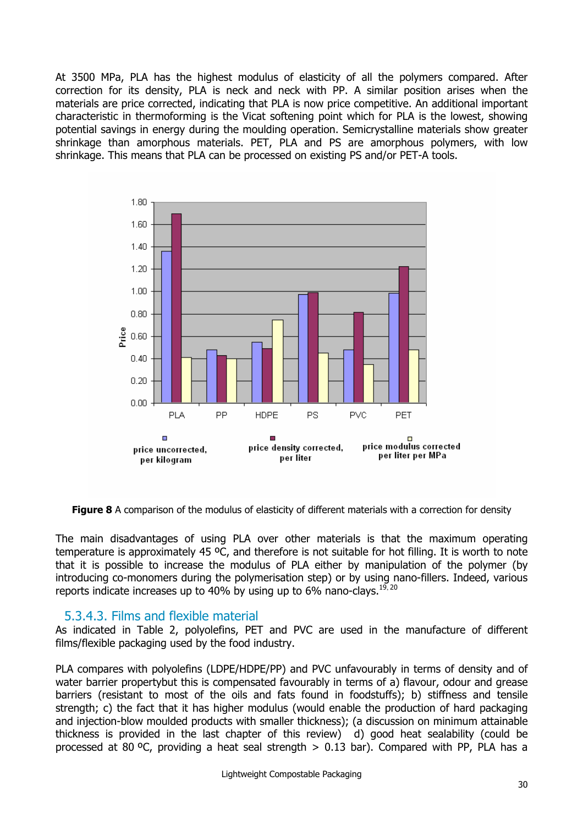At 3500 MPa, PLA has the highest modulus of elasticity of all the polymers compared. After correction for its density, PLA is neck and neck with PP. A similar position arises when the materials are price corrected, indicating that PLA is now price competitive. An additional important characteristic in thermoforming is the Vicat softening point which for PLA is the lowest, showing potential savings in energy during the moulding operation. Semicrystalline materials show greater shrinkage than amorphous materials. PET, PLA and PS are amorphous polymers, with low shrinkage. This means that PLA can be processed on existing PS and/or PET-A tools.



**Figure 8** A comparison of the modulus of elasticity of different materials with a correction for density

The main disadvantages of using PLA over other materials is that the maximum operating temperature is approximately 45 ºC, and therefore is not suitable for hot filling. It is worth to note that it is possible to increase the modulus of PLA either by manipulation of the polymer (by introducing co-monomers during the polymerisation step) or by using nano-fillers. Indeed, various reports indicate increases up to 40% by using up to 6% nano-clays.<sup>19, 20</sup>

#### 5.3.4.3. Films and flexible material

As indicated in Table 2, polyolefins, PET and PVC are used in the manufacture of different films/flexible packaging used by the food industry.

PLA compares with polyolefins (LDPE/HDPE/PP) and PVC unfavourably in terms of density and of water barrier propertybut this is compensated favourably in terms of a) flavour, odour and grease barriers (resistant to most of the oils and fats found in foodstuffs); b) stiffness and tensile strength; c) the fact that it has higher modulus (would enable the production of hard packaging and injection-blow moulded products with smaller thickness); (a discussion on minimum attainable thickness is provided in the last chapter of this review) d) good heat sealability (could be processed at 80 °C, providing a heat seal strength  $> 0.13$  bar). Compared with PP, PLA has a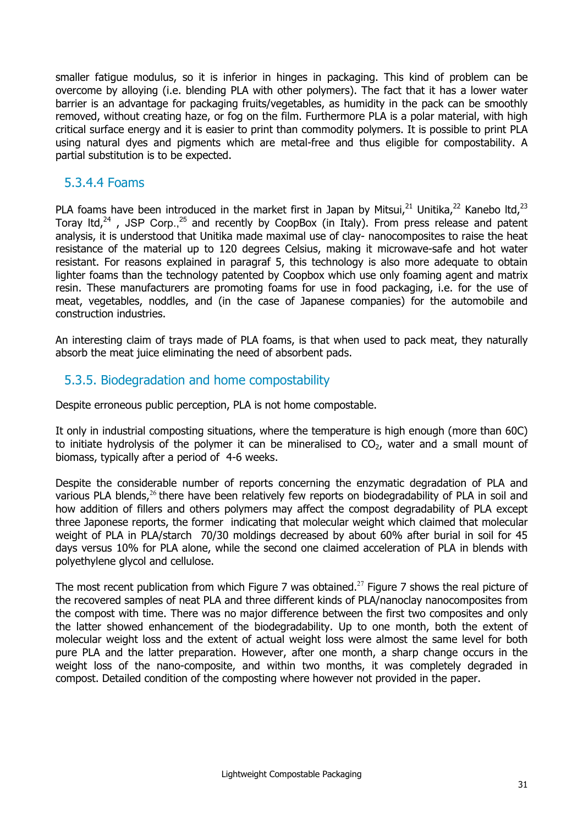smaller fatigue modulus, so it is inferior in hinges in packaging. This kind of problem can be overcome by alloying (i.e. blending PLA with other polymers). The fact that it has a lower water barrier is an advantage for packaging fruits/vegetables, as humidity in the pack can be smoothly removed, without creating haze, or fog on the film. Furthermore PLA is a polar material, with high critical surface energy and it is easier to print than commodity polymers. It is possible to print PLA using natural dyes and pigments which are metal-free and thus eligible for compostability. A partial substitution is to be expected.

#### 5.3.4.4 Foams

PLA foams have been introduced in the market first in Japan by Mitsui, $^{21}$  Unitika, $^{22}$  Kanebo ltd, $^{23}$ Toray ltd,<sup>24</sup>, JSP Corp.,<sup>25</sup> and recently by CoopBox (in Italy). From press release and patent analysis, it is understood that Unitika made maximal use of clay- nanocomposites to raise the heat resistance of the material up to 120 degrees Celsius, making it microwave-safe and hot water resistant. For reasons explained in paragraf 5, this technology is also more adequate to obtain lighter foams than the technology patented by Coopbox which use only foaming agent and matrix resin. These manufacturers are promoting foams for use in food packaging, i.e. for the use of meat, vegetables, noddles, and (in the case of Japanese companies) for the automobile and construction industries.

An interesting claim of trays made of PLA foams, is that when used to pack meat, they naturally absorb the meat juice eliminating the need of absorbent pads.

#### 5.3.5. Biodegradation and home compostability

Despite erroneous public perception, PLA is not home compostable.

It only in industrial composting situations, where the temperature is high enough (more than 60C) to initiate hydrolysis of the polymer it can be mineralised to  $CO<sub>2</sub>$ , water and a small mount of biomass, typically after a period of 4-6 weeks.

Despite the considerable number of reports concerning the enzymatic degradation of PLA and various PLA blends, $26$  there have been relatively few reports on biodegradability of PLA in soil and how addition of fillers and others polymers may affect the compost degradability of PLA except three Japonese reports, the former indicating that molecular weight which claimed that molecular weight of PLA in PLA/starch 70/30 moldings decreased by about 60% after burial in soil for 45 days versus 10% for PLA alone, while the second one claimed acceleration of PLA in blends with polyethylene glycol and cellulose.

The most recent publication from which Figure 7 was obtained.<sup>27</sup> Figure 7 shows the real picture of the recovered samples of neat PLA and three different kinds of PLA/nanoclay nanocomposites from the compost with time. There was no major difference between the first two composites and only the latter showed enhancement of the biodegradability. Up to one month, both the extent of molecular weight loss and the extent of actual weight loss were almost the same level for both pure PLA and the latter preparation. However, after one month, a sharp change occurs in the weight loss of the nano-composite, and within two months, it was completely degraded in compost. Detailed condition of the composting where however not provided in the paper.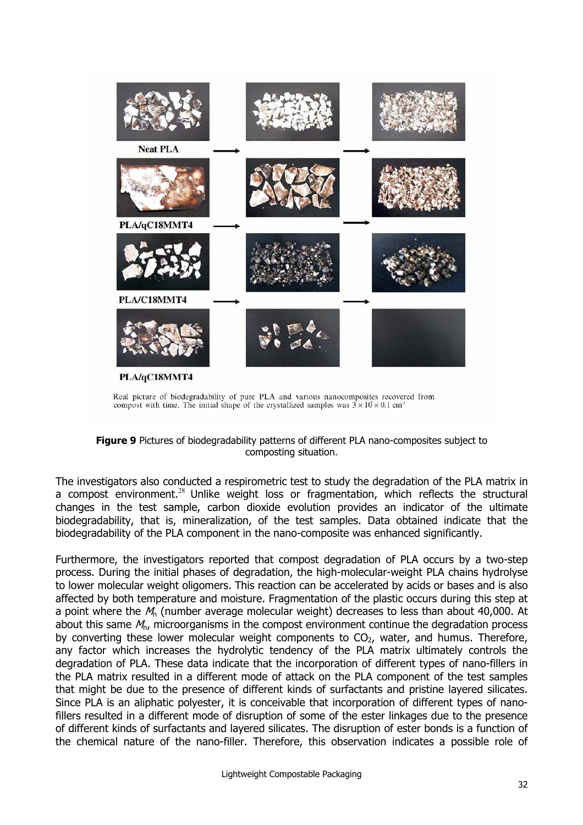

Real picture of biodegradability of pure PLA and various nanocomposites recovered from compost with time. The initial shape of the crystallized samples was  $3 \times 10 \times 0.1$  cm<sup>3</sup>

#### **Figure 9** Pictures of biodegradability patterns of different PLA nano-composites subject to composting situation.

The investigators also conducted a respirometric test to study the degradation of the PLA matrix in a compost environment.<sup>28</sup> Unlike weight loss or fragmentation, which reflects the structural changes in the test sample, carbon dioxide evolution provides an indicator of the ultimate biodegradability, that is, mineralization, of the test samples. Data obtained indicate that the biodegradability of the PLA component in the nano-composite was enhanced significantly.

Furthermore, the investigators reported that compost degradation of PLA occurs by a two-step process. During the initial phases of degradation, the high-molecular-weight PLA chains hydrolyse to lower molecular weight oligomers. This reaction can be accelerated by acids or bases and is also affected by both temperature and moisture. Fragmentation of the plastic occurs during this step at a point where the  $M_n$  (number average molecular weight) decreases to less than about 40,000. At about this same  $M<sub>n</sub>$ , microorganisms in the compost environment continue the degradation process by converting these lower molecular weight components to  $CO<sub>2</sub>$ , water, and humus. Therefore, any factor which increases the hydrolytic tendency of the PLA matrix ultimately controls the degradation of PLA. These data indicate that the incorporation of different types of nano-fillers in the PLA matrix resulted in a different mode of attack on the PLA component of the test samples that might be due to the presence of different kinds of surfactants and pristine layered silicates. Since PLA is an aliphatic polyester, it is conceivable that incorporation of different types of nanofillers resulted in a different mode of disruption of some of the ester linkages due to the presence of different kinds of surfactants and layered silicates. The disruption of ester bonds is a function of the chemical nature of the nano-filler. Therefore, this observation indicates a possible role of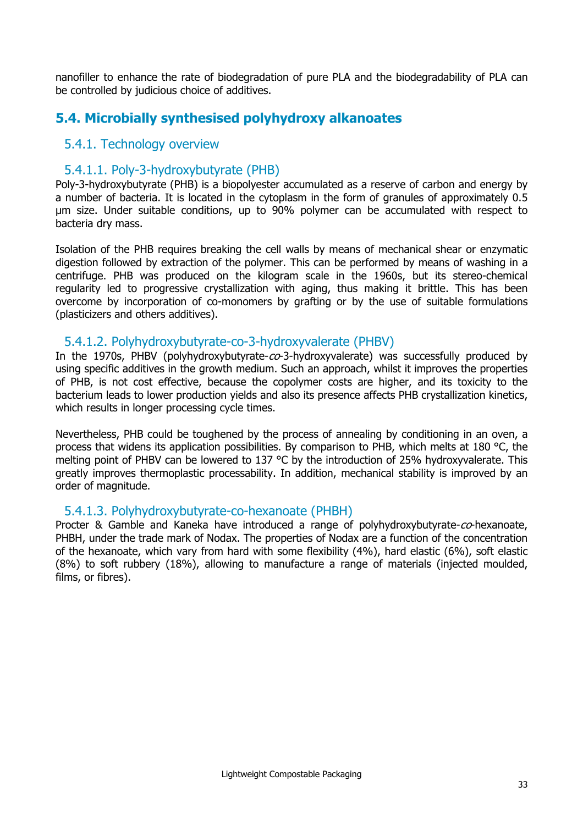nanofiller to enhance the rate of biodegradation of pure PLA and the biodegradability of PLA can be controlled by judicious choice of additives.

## **5.4. Microbially synthesised polyhydroxy alkanoates**

#### 5.4.1. Technology overview

#### 5.4.1.1. Poly-3-hydroxybutyrate (PHB)

Poly-3-hydroxybutyrate (PHB) is a biopolyester accumulated as a reserve of carbon and energy by a number of bacteria. It is located in the cytoplasm in the form of granules of approximately 0.5 µm size. Under suitable conditions, up to 90% polymer can be accumulated with respect to bacteria dry mass.

Isolation of the PHB requires breaking the cell walls by means of mechanical shear or enzymatic digestion followed by extraction of the polymer. This can be performed by means of washing in a centrifuge. PHB was produced on the kilogram scale in the 1960s, but its stereo-chemical regularity led to progressive crystallization with aging, thus making it brittle. This has been overcome by incorporation of co-monomers by grafting or by the use of suitable formulations (plasticizers and others additives).

#### 5.4.1.2. Polyhydroxybutyrate-co-3-hydroxyvalerate (PHBV)

In the 1970s, PHBV (polyhydroxybutyrate- $co$ -3-hydroxyvalerate) was successfully produced by using specific additives in the growth medium. Such an approach, whilst it improves the properties of PHB, is not cost effective, because the copolymer costs are higher, and its toxicity to the bacterium leads to lower production yields and also its presence affects PHB crystallization kinetics, which results in longer processing cycle times.

Nevertheless, PHB could be toughened by the process of annealing by conditioning in an oven, a process that widens its application possibilities. By comparison to PHB, which melts at 180 °C, the melting point of PHBV can be lowered to 137 °C by the introduction of 25% hydroxyvalerate. This greatly improves thermoplastic processability. In addition, mechanical stability is improved by an order of magnitude.

#### 5.4.1.3. Polyhydroxybutyrate-co-hexanoate (PHBH)

Procter & Gamble and Kaneka have introduced a range of polyhydroxybutyrate-co-hexanoate, PHBH, under the trade mark of Nodax. The properties of Nodax are a function of the concentration of the hexanoate, which vary from hard with some flexibility (4%), hard elastic (6%), soft elastic (8%) to soft rubbery (18%), allowing to manufacture a range of materials (injected moulded, films, or fibres).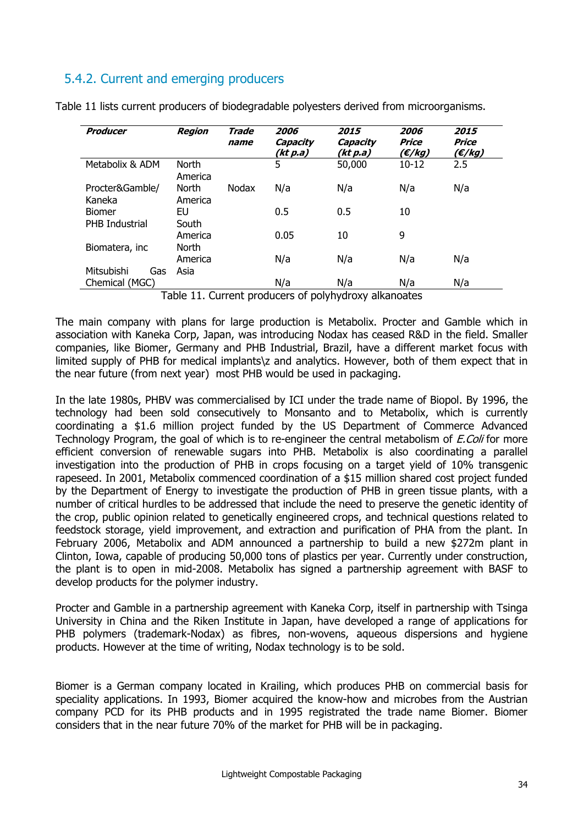## 5.4.2. Current and emerging producers

| Producer                               | <b>Region</b>           | Trade<br>name | 2006<br>Capacity<br>(kt p.a) | <i><b>2015</b></i><br>Capacity<br>(kt p.a) | 2006<br>Price<br>(€/kg) | <i><b>2015</b></i><br>Price<br>(E/kg) |
|----------------------------------------|-------------------------|---------------|------------------------------|--------------------------------------------|-------------------------|---------------------------------------|
| Metabolix & ADM                        | <b>North</b><br>America |               | 5                            | 50,000                                     | $10 - 12$               | 2.5                                   |
| Procter&Gamble/<br>Kaneka              | <b>North</b><br>America | Nodax         | N/a                          | N/a                                        | N/a                     | N/a                                   |
| <b>Biomer</b><br><b>PHB</b> Industrial | EU<br>South             |               | 0.5                          | 0.5                                        | 10                      |                                       |
|                                        | America<br>North        |               | 0.05                         | 10                                         | 9                       |                                       |
| Biomatera, inc                         | America                 |               | N/a                          | N/a                                        | N/a                     | N/a                                   |
| Mitsubishi<br>Gas                      | Asia                    |               |                              |                                            |                         |                                       |
| Chemical (MGC)                         | - '' '' ^               | . .           | N/a<br>$\epsilon$<br>.       | N/a<br><br>. .                             | N/a                     | N/a                                   |

Table 11 lists current producers of biodegradable polyesters derived from microorganisms.

Table 11. Current producers of polyhydroxy alkanoates

The main company with plans for large production is Metabolix. Procter and Gamble which in association with Kaneka Corp, Japan, was introducing Nodax has ceased R&D in the field. Smaller companies, like Biomer, Germany and PHB Industrial, Brazil, have a different market focus with limited supply of PHB for medical implants\z and analytics. However, both of them expect that in the near future (from next year) most PHB would be used in packaging.

In the late 1980s, PHBV was commercialised by ICI under the trade name of Biopol. By 1996, the technology had been sold consecutively to Monsanto and to Metabolix, which is currently coordinating a \$1.6 million project funded by the US Department of Commerce Advanced Technology Program, the goal of which is to re-engineer the central metabolism of *E.Coli* for more efficient conversion of renewable sugars into PHB. Metabolix is also coordinating a parallel investigation into the production of PHB in crops focusing on a target yield of 10% transgenic rapeseed. In 2001, Metabolix commenced coordination of a \$15 million shared cost project funded by the Department of Energy to investigate the production of PHB in green tissue plants, with a number of critical hurdles to be addressed that include the need to preserve the genetic identity of the crop, public opinion related to genetically engineered crops, and technical questions related to feedstock storage, yield improvement, and extraction and purification of PHA from the plant. In February 2006, Metabolix and ADM announced a partnership to build a new \$272m plant in Clinton, Iowa, capable of producing 50,000 tons of plastics per year. Currently under construction, the plant is to open in mid-2008. Metabolix has signed a partnership agreement with BASF to develop products for the polymer industry.

Procter and Gamble in a partnership agreement with Kaneka Corp, itself in partnership with Tsinga University in China and the Riken Institute in Japan, have developed a range of applications for PHB polymers (trademark-Nodax) as fibres, non-wovens, aqueous dispersions and hygiene products. However at the time of writing, Nodax technology is to be sold.

Biomer is a German company located in Krailing, which produces PHB on commercial basis for speciality applications. In 1993, Biomer acquired the know-how and microbes from the Austrian company PCD for its PHB products and in 1995 registrated the trade name Biomer. Biomer considers that in the near future 70% of the market for PHB will be in packaging.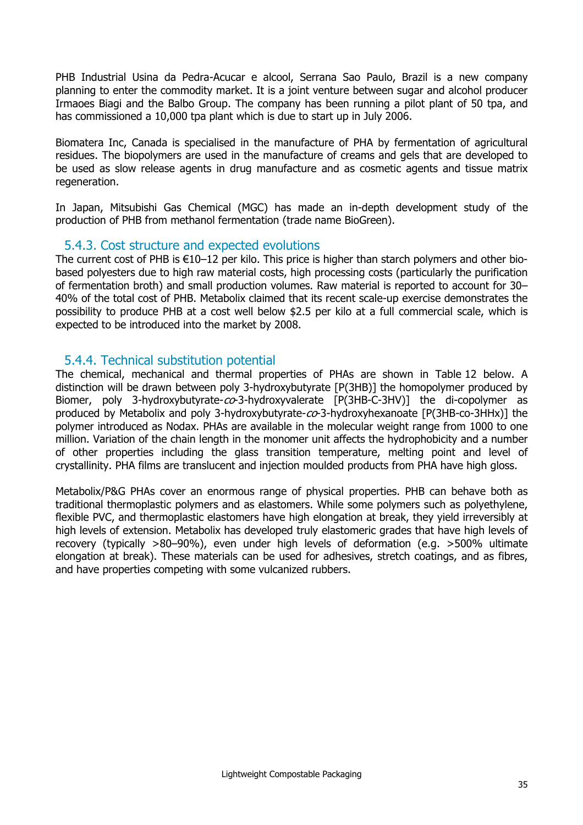PHB Industrial Usina da Pedra-Acucar e alcool, Serrana Sao Paulo, Brazil is a new company planning to enter the commodity market. It is a joint venture between sugar and alcohol producer Irmaoes Biagi and the Balbo Group. The company has been running a pilot plant of 50 tpa, and has commissioned a 10,000 tpa plant which is due to start up in July 2006.

Biomatera Inc, Canada is specialised in the manufacture of PHA by fermentation of agricultural residues. The biopolymers are used in the manufacture of creams and gels that are developed to be used as slow release agents in drug manufacture and as cosmetic agents and tissue matrix regeneration.

In Japan, Mitsubishi Gas Chemical (MGC) has made an in-depth development study of the production of PHB from methanol fermentation (trade name BioGreen).

#### 5.4.3. Cost structure and expected evolutions

The current cost of PHB is €10–12 per kilo. This price is higher than starch polymers and other biobased polyesters due to high raw material costs, high processing costs (particularly the purification of fermentation broth) and small production volumes. Raw material is reported to account for 30– 40% of the total cost of PHB. Metabolix claimed that its recent scale-up exercise demonstrates the possibility to produce PHB at a cost well below \$2.5 per kilo at a full commercial scale, which is expected to be introduced into the market by 2008.

#### 5.4.4. Technical substitution potential

The chemical, mechanical and thermal properties of PHAs are shown in Table 12 below. A distinction will be drawn between poly 3-hydroxybutyrate [P(3HB)] the homopolymer produced by Biomer, poly 3-hydroxybutyrate-co-3-hydroxyvalerate [P(3HB-C-3HV)] the di-copolymer as produced by Metabolix and poly 3-hydroxybutyrate- $co$ -3-hydroxyhexanoate [P(3HB-co-3HHx)] the polymer introduced as Nodax. PHAs are available in the molecular weight range from 1000 to one million. Variation of the chain length in the monomer unit affects the hydrophobicity and a number of other properties including the glass transition temperature, melting point and level of crystallinity. PHA films are translucent and injection moulded products from PHA have high gloss.

Metabolix/P&G PHAs cover an enormous range of physical properties. PHB can behave both as traditional thermoplastic polymers and as elastomers. While some polymers such as polyethylene, flexible PVC, and thermoplastic elastomers have high elongation at break, they yield irreversibly at high levels of extension. Metabolix has developed truly elastomeric grades that have high levels of recovery (typically >80–90%), even under high levels of deformation (e.g. >500% ultimate elongation at break). These materials can be used for adhesives, stretch coatings, and as fibres, and have properties competing with some vulcanized rubbers.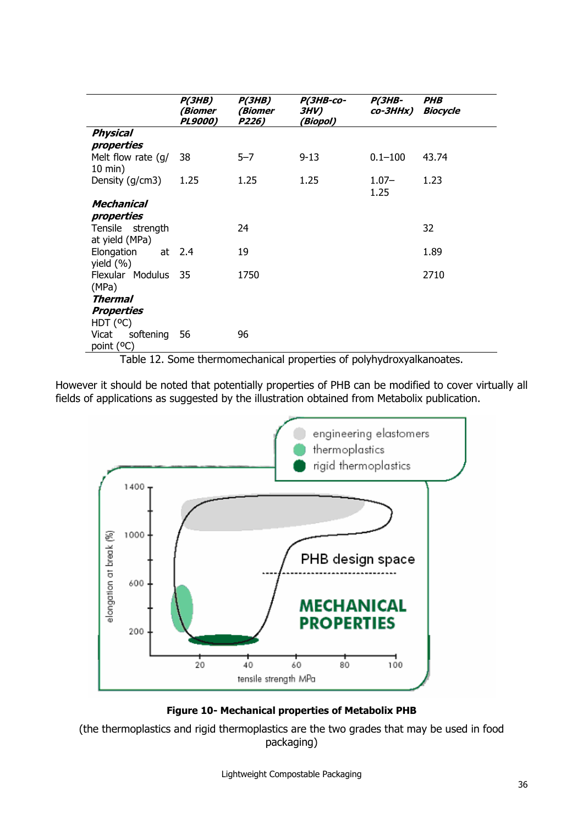|                                          | P(3HB)<br><i>(Biomer</i><br><b>PL9000)</b> | P(3HB)<br>(Biomer<br>P226) | <b>P(3HB-co-</b><br><b>3HV)</b><br>(Biopol) | <i><b>P(3HB-</b></i><br>co-3HHx) | <i><b>PHB</b></i><br><b>Biocycle</b> |
|------------------------------------------|--------------------------------------------|----------------------------|---------------------------------------------|----------------------------------|--------------------------------------|
| <b>Physical</b><br>properties            |                                            |                            |                                             |                                  |                                      |
| Melt flow rate (g/<br>$10 \text{ min}$ ) | 38                                         | $5 - 7$                    | $9 - 13$                                    | $0.1 - 100$                      | 43.74                                |
| Density (g/cm3)                          | 1.25                                       | 1.25                       | 1.25                                        | $1.07 -$<br>1.25                 | 1.23                                 |
| Mechanical                               |                                            |                            |                                             |                                  |                                      |
| properties                               |                                            |                            |                                             |                                  |                                      |
| Tensile strength                         |                                            | 24                         |                                             |                                  | 32                                   |
| at yield (MPa)                           |                                            |                            |                                             |                                  |                                      |
| Elongation<br>yield $(% )$               | at $2.4$                                   | 19                         |                                             |                                  | 1.89                                 |
| Flexular Modulus 35<br>(MPa)             |                                            | 1750                       |                                             |                                  | 2710                                 |
| Thermal                                  |                                            |                            |                                             |                                  |                                      |
| <b>Properties</b>                        |                                            |                            |                                             |                                  |                                      |
| HDT (°C)                                 |                                            |                            |                                             |                                  |                                      |
| softening<br>Vicat<br>point (°C)         | 56                                         | 96                         |                                             |                                  |                                      |

Table 12. Some thermomechanical properties of polyhydroxyalkanoates.

However it should be noted that potentially properties of PHB can be modified to cover virtually all fields of applications as suggested by the illustration obtained from Metabolix publication.





(the thermoplastics and rigid thermoplastics are the two grades that may be used in food packaging)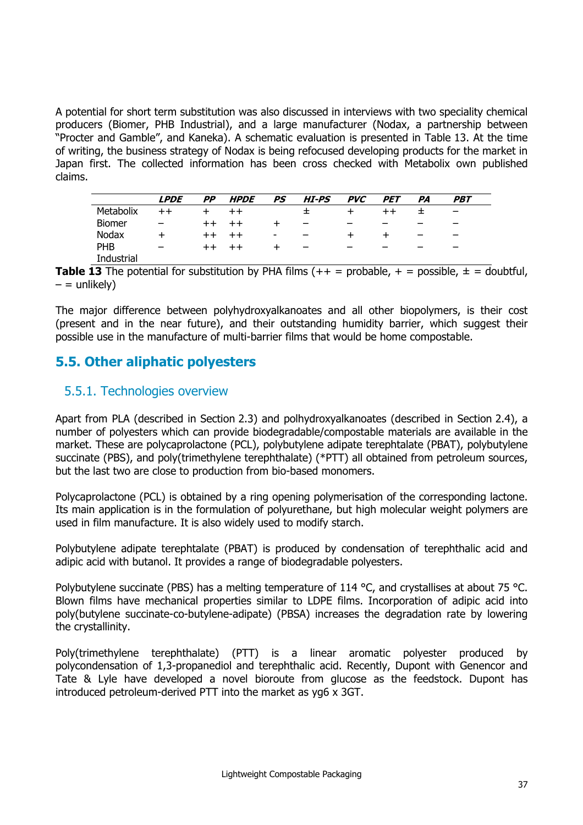A potential for short term substitution was also discussed in interviews with two speciality chemical producers (Biomer, PHB Industrial), and a large manufacturer (Nodax, a partnership between "Procter and Gamble", and Kaneka). A schematic evaluation is presented in Table 13. At the time of writing, the business strategy of Nodax is being refocused developing products for the market in Japan first. The collected information has been cross checked with Metabolix own published claims.

|               | <b>LPDE</b>              | <b>PP</b> | <b>HPDE</b>     | PS                       | HI-PS                    | <i>PVC</i> | <b>PET</b> | PA | PBT                      |
|---------------|--------------------------|-----------|-----------------|--------------------------|--------------------------|------------|------------|----|--------------------------|
| Metabolix     |                          |           | $++$            |                          | ᆂ                        |            |            |    | $\overline{\phantom{0}}$ |
| <b>Biomer</b> |                          | $^{++}$   |                 |                          |                          | -          | -          |    |                          |
| Nodax         |                          | $++$      | $^{\mathrm{+}}$ | $\overline{\phantom{0}}$ |                          | $\div$     |            | -  | -                        |
| <b>PHB</b>    | $\overline{\phantom{0}}$ | $^{++}$   |                 |                          | $\overline{\phantom{0}}$ | -          | -          |    | -                        |
| Industrial    |                          |           |                 |                          |                          |            |            |    |                          |

**Table 13** The potential for substitution by PHA films  $(++)$  = probable,  $+$  = possible,  $±$  = doubtful,  $-$  = unlikely)

The major difference between polyhydroxyalkanoates and all other biopolymers, is their cost (present and in the near future), and their outstanding humidity barrier, which suggest their possible use in the manufacture of multi-barrier films that would be home compostable.

## **5.5. Other aliphatic polyesters**

#### 5.5.1. Technologies overview

Apart from PLA (described in Section 2.3) and polhydroxyalkanoates (described in Section 2.4), a number of polyesters which can provide biodegradable/compostable materials are available in the market. These are polycaprolactone (PCL), polybutylene adipate terephtalate (PBAT), polybutylene succinate (PBS), and poly(trimethylene terephthalate) (\*PTT) all obtained from petroleum sources, but the last two are close to production from bio-based monomers.

Polycaprolactone (PCL) is obtained by a ring opening polymerisation of the corresponding lactone. Its main application is in the formulation of polyurethane, but high molecular weight polymers are used in film manufacture. It is also widely used to modify starch.

Polybutylene adipate terephtalate (PBAT) is produced by condensation of terephthalic acid and adipic acid with butanol. It provides a range of biodegradable polyesters.

Polybutylene succinate (PBS) has a melting temperature of 114 °C, and crystallises at about 75 °C. Blown films have mechanical properties similar to LDPE films. Incorporation of adipic acid into poly(butylene succinate-co-butylene-adipate) (PBSA) increases the degradation rate by lowering the crystallinity.

Poly(trimethylene terephthalate) (PTT) is a linear aromatic polyester produced by polycondensation of 1,3-propanediol and terephthalic acid. Recently, Dupont with Genencor and Tate & Lyle have developed a novel bioroute from glucose as the feedstock. Dupont has introduced petroleum-derived PTT into the market as yg6 x 3GT.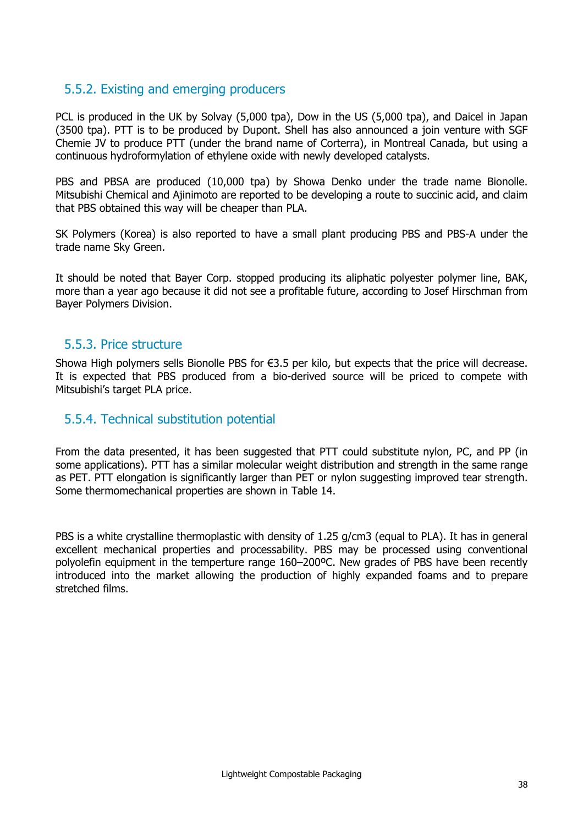#### 5.5.2. Existing and emerging producers

PCL is produced in the UK by Solvay (5,000 tpa), Dow in the US (5,000 tpa), and Daicel in Japan (3500 tpa). PTT is to be produced by Dupont. Shell has also announced a join venture with SGF Chemie JV to produce PTT (under the brand name of Corterra), in Montreal Canada, but using a continuous hydroformylation of ethylene oxide with newly developed catalysts.

PBS and PBSA are produced (10,000 tpa) by Showa Denko under the trade name Bionolle. Mitsubishi Chemical and Ajinimoto are reported to be developing a route to succinic acid, and claim that PBS obtained this way will be cheaper than PLA.

SK Polymers (Korea) is also reported to have a small plant producing PBS and PBS-A under the trade name Sky Green.

It should be noted that Bayer Corp. stopped producing its aliphatic polyester polymer line, BAK, more than a year ago because it did not see a profitable future, according to Josef Hirschman from Bayer Polymers Division.

#### 5.5.3. Price structure

Showa High polymers sells Bionolle PBS for €3.5 per kilo, but expects that the price will decrease. It is expected that PBS produced from a bio-derived source will be priced to compete with Mitsubishi's target PLA price.

#### 5.5.4. Technical substitution potential

From the data presented, it has been suggested that PTT could substitute nylon, PC, and PP (in some applications). PTT has a similar molecular weight distribution and strength in the same range as PET. PTT elongation is significantly larger than PET or nylon suggesting improved tear strength. Some thermomechanical properties are shown in Table 14.

PBS is a white crystalline thermoplastic with density of 1.25 g/cm3 (equal to PLA). It has in general excellent mechanical properties and processability. PBS may be processed using conventional polyolefin equipment in the temperture range 160–200ºC. New grades of PBS have been recently introduced into the market allowing the production of highly expanded foams and to prepare stretched films.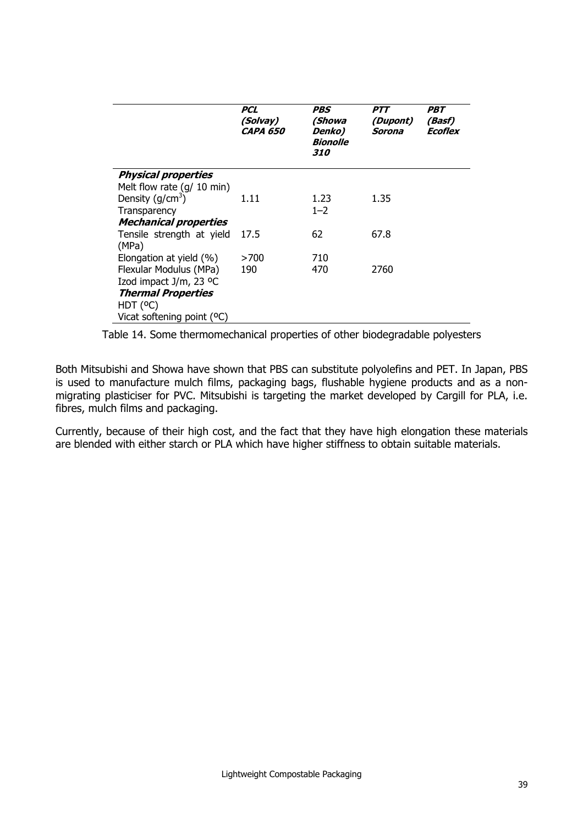|                                     | PCL<br>(Solvay)<br><i>CAPA 650</i> | PBS<br>(Showa<br>Denko)<br><b>Bionolle</b><br><i><b>310</b></i> | <i><b>PTT</b></i><br>(Dupont)<br>Sorona | PBT<br>(Basf)<br>Ecoflex |
|-------------------------------------|------------------------------------|-----------------------------------------------------------------|-----------------------------------------|--------------------------|
| <b>Physical properties</b>          |                                    |                                                                 |                                         |                          |
| Melt flow rate $(g/10 \text{ min})$ |                                    |                                                                 |                                         |                          |
| Density ( $q/cm3$ )                 | 1.11                               | 1.23                                                            | 1.35                                    |                          |
| Transparency                        |                                    | $1 - 2$                                                         |                                         |                          |
| <b>Mechanical properties</b>        |                                    |                                                                 |                                         |                          |
| Tensile strength at yield           | 17.5                               | 62                                                              | 67.8                                    |                          |
| (MPa)                               |                                    |                                                                 |                                         |                          |
| Elongation at yield (%)             | >700                               | 710                                                             |                                         |                          |
| Flexular Modulus (MPa)              | 190                                | 470                                                             | 2760                                    |                          |
| Izod impact J/m, 23 °C              |                                    |                                                                 |                                         |                          |
| <b>Thermal Properties</b>           |                                    |                                                                 |                                         |                          |
| HDT (°C)                            |                                    |                                                                 |                                         |                          |
| Vicat softening point (°C)          |                                    |                                                                 |                                         |                          |

Table 14. Some thermomechanical properties of other biodegradable polyesters

Both Mitsubishi and Showa have shown that PBS can substitute polyolefins and PET. In Japan, PBS is used to manufacture mulch films, packaging bags, flushable hygiene products and as a nonmigrating plasticiser for PVC. Mitsubishi is targeting the market developed by Cargill for PLA, i.e. fibres, mulch films and packaging.

Currently, because of their high cost, and the fact that they have high elongation these materials are blended with either starch or PLA which have higher stiffness to obtain suitable materials.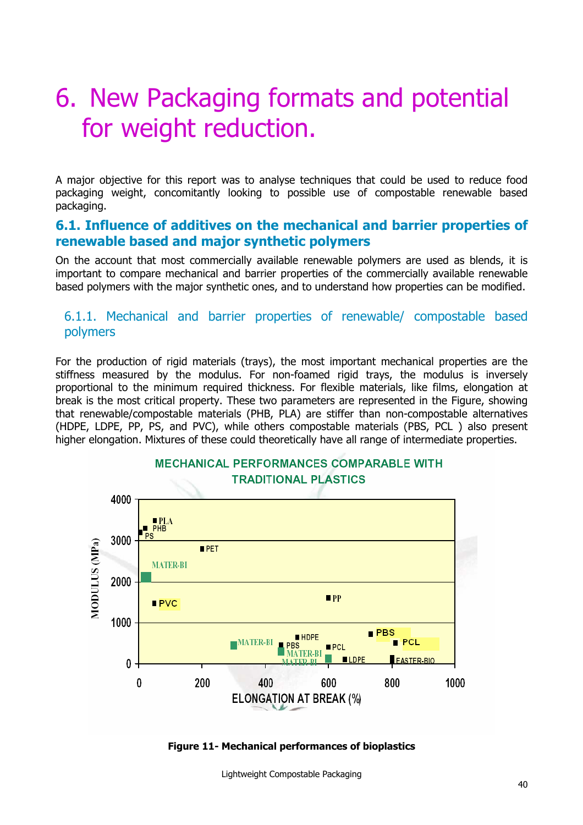## 6. New Packaging formats and potential for weight reduction.

A major objective for this report was to analyse techniques that could be used to reduce food packaging weight, concomitantly looking to possible use of compostable renewable based packaging.

#### **6.1. Influence of additives on the mechanical and barrier properties of renewable based and major synthetic polymers**

On the account that most commercially available renewable polymers are used as blends, it is important to compare mechanical and barrier properties of the commercially available renewable based polymers with the major synthetic ones, and to understand how properties can be modified.

#### 6.1.1. Mechanical and barrier properties of renewable/ compostable based polymers

For the production of rigid materials (trays), the most important mechanical properties are the stiffness measured by the modulus. For non-foamed rigid trays, the modulus is inversely proportional to the minimum required thickness. For flexible materials, like films, elongation at break is the most critical property. These two parameters are represented in the Figure, showing that renewable/compostable materials (PHB, PLA) are stiffer than non-compostable alternatives (HDPE, LDPE, PP, PS, and PVC), while others compostable materials (PBS, PCL ) also present higher elongation. Mixtures of these could theoretically have all range of intermediate properties.



**Figure 11- Mechanical performances of bioplastics** 

Lightweight Compostable Packaging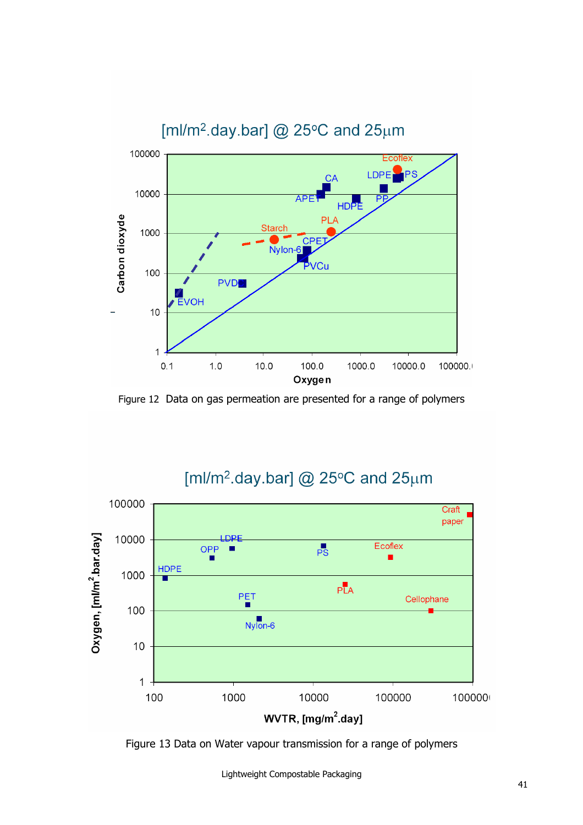

Figure 12 Data on gas permeation are presented for a range of polymers

## [ml/m<sup>2</sup>.day.bar] @ 25°C and 25 $\mu$ m



Figure 13 Data on Water vapour transmission for a range of polymers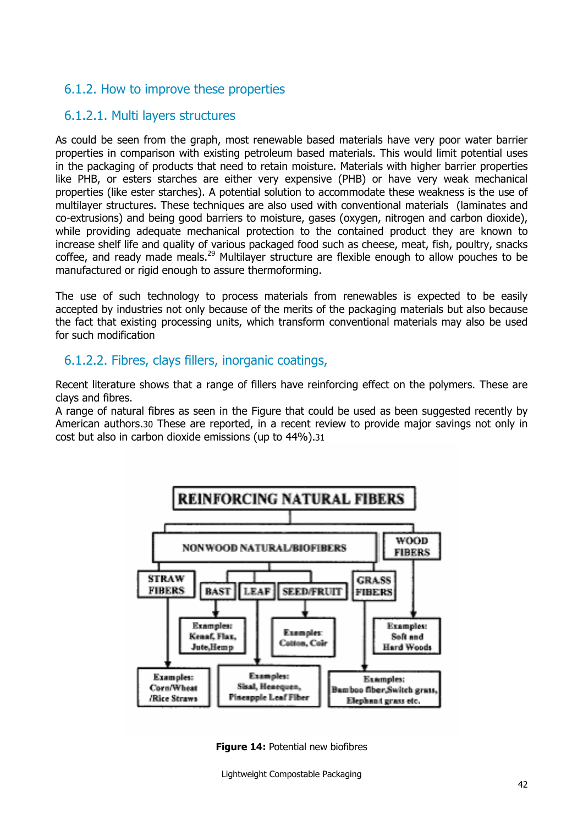## 6.1.2. How to improve these properties

### 6.1.2.1. Multi layers structures

As could be seen from the graph, most renewable based materials have very poor water barrier properties in comparison with existing petroleum based materials. This would limit potential uses in the packaging of products that need to retain moisture. Materials with higher barrier properties like PHB, or esters starches are either very expensive (PHB) or have very weak mechanical properties (like ester starches). A potential solution to accommodate these weakness is the use of multilayer structures. These techniques are also used with conventional materials (laminates and co-extrusions) and being good barriers to moisture, gases (oxygen, nitrogen and carbon dioxide), while providing adequate mechanical protection to the contained product they are known to increase shelf life and quality of various packaged food such as cheese, meat, fish, poultry, snacks coffee, and ready made meals.<sup>29</sup> Multilayer structure are flexible enough to allow pouches to be manufactured or rigid enough to assure thermoforming.

The use of such technology to process materials from renewables is expected to be easily accepted by industries not only because of the merits of the packaging materials but also because the fact that existing processing units, which transform conventional materials may also be used for such modification

#### 6.1.2.2. Fibres, clays fillers, inorganic coatings,

Recent literature shows that a range of fillers have reinforcing effect on the polymers. These are clays and fibres.

A range of natural fibres as seen in the Figure that could be used as been suggested recently by American authors.30 These are reported, in a recent review to provide major savings not only in cost but also in carbon dioxide emissions (up to 44%).31



**Figure 14: Potential new biofibres** 

Lightweight Compostable Packaging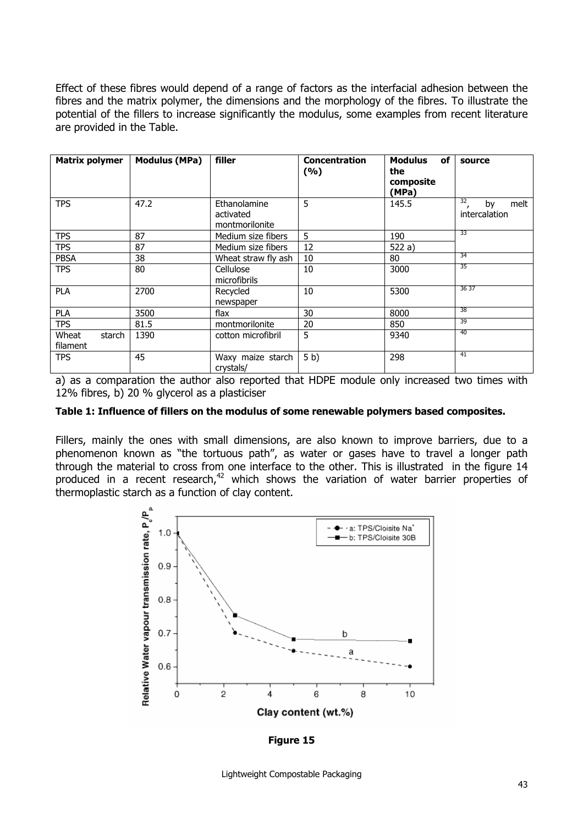Effect of these fibres would depend of a range of factors as the interfacial adhesion between the fibres and the matrix polymer, the dimensions and the morphology of the fibres. To illustrate the potential of the fillers to increase significantly the modulus, some examples from recent literature are provided in the Table.

| <b>Matrix polymer</b>       | <b>Modulus (MPa)</b> | filler                                      | <b>Concentration</b><br>(%) | of<br><b>Modulus</b><br>the<br>composite<br>(MPa) | source                            |
|-----------------------------|----------------------|---------------------------------------------|-----------------------------|---------------------------------------------------|-----------------------------------|
| <b>TPS</b>                  | 47.2                 | Ethanolamine<br>activated<br>montmorilonite | 5                           | 145.5                                             | 32<br>melt<br>by<br>intercalation |
| <b>TPS</b>                  | 87                   | Medium size fibers                          | 5                           | 190                                               | 33                                |
| <b>TPS</b>                  | 87                   | Medium size fibers                          | 12                          | 522 a)                                            |                                   |
| PBSA                        | 38                   | Wheat straw fly ash                         | 10                          | 80                                                | 34                                |
| <b>TPS</b>                  | 80                   | Cellulose<br>microfibrils                   | 10                          | 3000                                              | 35                                |
| <b>PLA</b>                  | 2700                 | Recycled<br>newspaper                       | 10                          | 5300                                              | 36 37                             |
| <b>PLA</b>                  | 3500                 | flax                                        | 30                          | 8000                                              | 38                                |
| <b>TPS</b>                  | 81.5                 | montmorilonite                              | 20                          | 850                                               | 39                                |
| Wheat<br>starch<br>filament | 1390                 | cotton microfibril                          | 5                           | 9340                                              | 40                                |
| <b>TPS</b>                  | 45                   | Waxy maize starch<br>crystals/              | 5 <sub>b</sub>              | 298                                               | 41                                |

a) as a comparation the author also reported that HDPE module only increased two times with 12% fibres, b) 20 % glycerol as a plasticiser

#### **Table 1: Influence of fillers on the modulus of some renewable polymers based composites.**

Fillers, mainly the ones with small dimensions, are also known to improve barriers, due to a phenomenon known as "the tortuous path", as water or gases have to travel a longer path through the material to cross from one interface to the other. This is illustrated in the figure 14 produced in a recent research,<sup>42</sup> which shows the variation of water barrier properties of thermoplastic starch as a function of clay content.



**Figure 15** 

Lightweight Compostable Packaging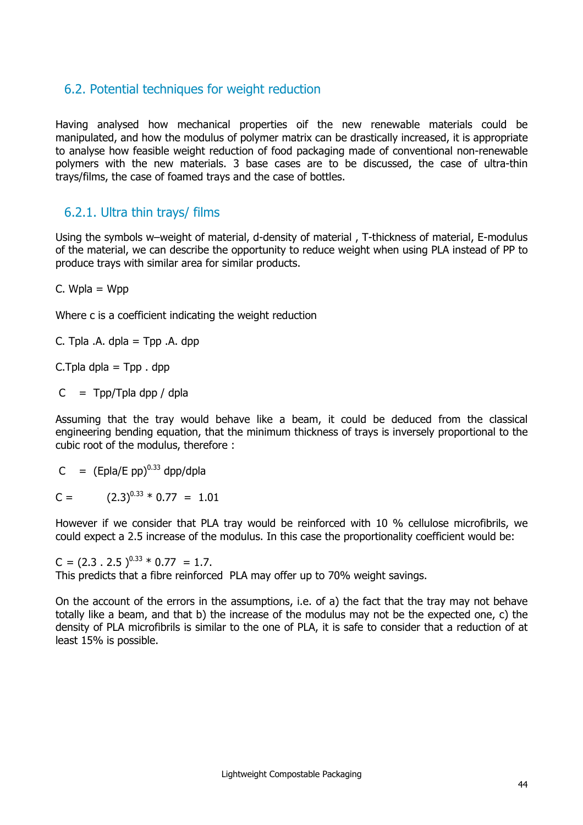## 6.2. Potential techniques for weight reduction

Having analysed how mechanical properties oif the new renewable materials could be manipulated, and how the modulus of polymer matrix can be drastically increased, it is appropriate to analyse how feasible weight reduction of food packaging made of conventional non-renewable polymers with the new materials. 3 base cases are to be discussed, the case of ultra-thin trays/films, the case of foamed trays and the case of bottles.

### 6.2.1. Ultra thin trays/ films

Using the symbols w–weight of material, d-density of material , T-thickness of material, E-modulus of the material, we can describe the opportunity to reduce weight when using PLA instead of PP to produce trays with similar area for similar products.

 $C.$  Wpla = Wpp

Where c is a coefficient indicating the weight reduction

C. Tpla  $A$ . dpla = Tpp  $A$ . dpp

C. Tpla dpla =  $Tpp$ . dpp

 $C = Top/T$ pla dpp / dpla

Assuming that the tray would behave like a beam, it could be deduced from the classical engineering bending equation, that the minimum thickness of trays is inversely proportional to the cubic root of the modulus, therefore :

 $C = (Epla/E pp)^{0.33} dpp/dpla$ 

 $C =$   $(2.3)^{0.33} \times 0.77 = 1.01$ 

However if we consider that PLA tray would be reinforced with 10 % cellulose microfibrils, we could expect a 2.5 increase of the modulus. In this case the proportionality coefficient would be:

 $C = (2.3 \cdot 2.5)^{0.33} * 0.77 = 1.7.$ This predicts that a fibre reinforced PLA may offer up to 70% weight savings.

On the account of the errors in the assumptions, i.e. of a) the fact that the tray may not behave totally like a beam, and that b) the increase of the modulus may not be the expected one, c) the density of PLA microfibrils is similar to the one of PLA, it is safe to consider that a reduction of at least 15% is possible.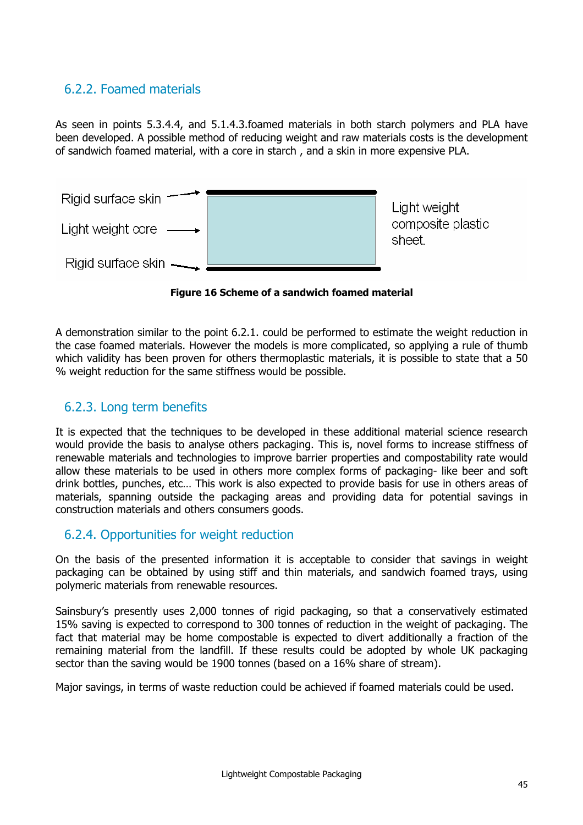## 6.2.2. Foamed materials

As seen in points 5.3.4.4, and 5.1.4.3.foamed materials in both starch polymers and PLA have been developed. A possible method of reducing weight and raw materials costs is the development of sandwich foamed material, with a core in starch , and a skin in more expensive PLA.



**Figure 16 Scheme of a sandwich foamed material** 

A demonstration similar to the point 6.2.1. could be performed to estimate the weight reduction in the case foamed materials. However the models is more complicated, so applying a rule of thumb which validity has been proven for others thermoplastic materials, it is possible to state that a 50 % weight reduction for the same stiffness would be possible.

## 6.2.3. Long term benefits

It is expected that the techniques to be developed in these additional material science research would provide the basis to analyse others packaging. This is, novel forms to increase stiffness of renewable materials and technologies to improve barrier properties and compostability rate would allow these materials to be used in others more complex forms of packaging- like beer and soft drink bottles, punches, etc… This work is also expected to provide basis for use in others areas of materials, spanning outside the packaging areas and providing data for potential savings in construction materials and others consumers goods.

### 6.2.4. Opportunities for weight reduction

On the basis of the presented information it is acceptable to consider that savings in weight packaging can be obtained by using stiff and thin materials, and sandwich foamed trays, using polymeric materials from renewable resources.

Sainsbury's presently uses 2,000 tonnes of rigid packaging, so that a conservatively estimated 15% saving is expected to correspond to 300 tonnes of reduction in the weight of packaging. The fact that material may be home compostable is expected to divert additionally a fraction of the remaining material from the landfill. If these results could be adopted by whole UK packaging sector than the saving would be 1900 tonnes (based on a 16% share of stream).

Major savings, in terms of waste reduction could be achieved if foamed materials could be used.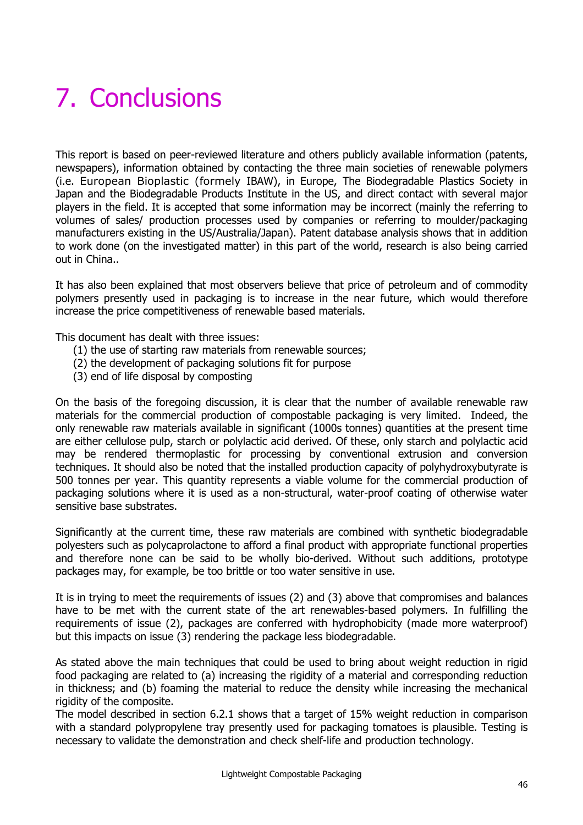## 7. Conclusions

This report is based on peer-reviewed literature and others publicly available information (patents, newspapers), information obtained by contacting the three main societies of renewable polymers (i.e. European Bioplastic (formely IBAW), in Europe, The Biodegradable Plastics Society in Japan and the Biodegradable Products Institute in the US, and direct contact with several major players in the field. It is accepted that some information may be incorrect (mainly the referring to volumes of sales/ production processes used by companies or referring to moulder/packaging manufacturers existing in the US/Australia/Japan). Patent database analysis shows that in addition to work done (on the investigated matter) in this part of the world, research is also being carried out in China..

It has also been explained that most observers believe that price of petroleum and of commodity polymers presently used in packaging is to increase in the near future, which would therefore increase the price competitiveness of renewable based materials.

This document has dealt with three issues:

- (1) the use of starting raw materials from renewable sources;
- (2) the development of packaging solutions fit for purpose
- (3) end of life disposal by composting

On the basis of the foregoing discussion, it is clear that the number of available renewable raw materials for the commercial production of compostable packaging is very limited. Indeed, the only renewable raw materials available in significant (1000s tonnes) quantities at the present time are either cellulose pulp, starch or polylactic acid derived. Of these, only starch and polylactic acid may be rendered thermoplastic for processing by conventional extrusion and conversion techniques. It should also be noted that the installed production capacity of polyhydroxybutyrate is 500 tonnes per year. This quantity represents a viable volume for the commercial production of packaging solutions where it is used as a non-structural, water-proof coating of otherwise water sensitive base substrates.

Significantly at the current time, these raw materials are combined with synthetic biodegradable polyesters such as polycaprolactone to afford a final product with appropriate functional properties and therefore none can be said to be wholly bio-derived. Without such additions, prototype packages may, for example, be too brittle or too water sensitive in use.

It is in trying to meet the requirements of issues (2) and (3) above that compromises and balances have to be met with the current state of the art renewables-based polymers. In fulfilling the requirements of issue (2), packages are conferred with hydrophobicity (made more waterproof) but this impacts on issue (3) rendering the package less biodegradable.

As stated above the main techniques that could be used to bring about weight reduction in rigid food packaging are related to (a) increasing the rigidity of a material and corresponding reduction in thickness; and (b) foaming the material to reduce the density while increasing the mechanical rigidity of the composite.

The model described in section 6.2.1 shows that a target of 15% weight reduction in comparison with a standard polypropylene tray presently used for packaging tomatoes is plausible. Testing is necessary to validate the demonstration and check shelf-life and production technology.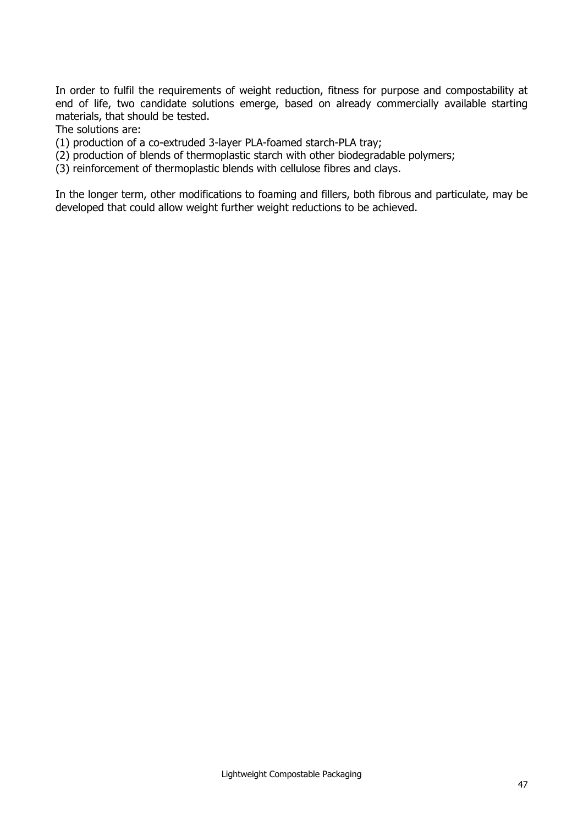In order to fulfil the requirements of weight reduction, fitness for purpose and compostability at end of life, two candidate solutions emerge, based on already commercially available starting materials, that should be tested.

The solutions are:

(1) production of a co-extruded 3-layer PLA-foamed starch-PLA tray;

(2) production of blends of thermoplastic starch with other biodegradable polymers;

(3) reinforcement of thermoplastic blends with cellulose fibres and clays.

In the longer term, other modifications to foaming and fillers, both fibrous and particulate, may be developed that could allow weight further weight reductions to be achieved.